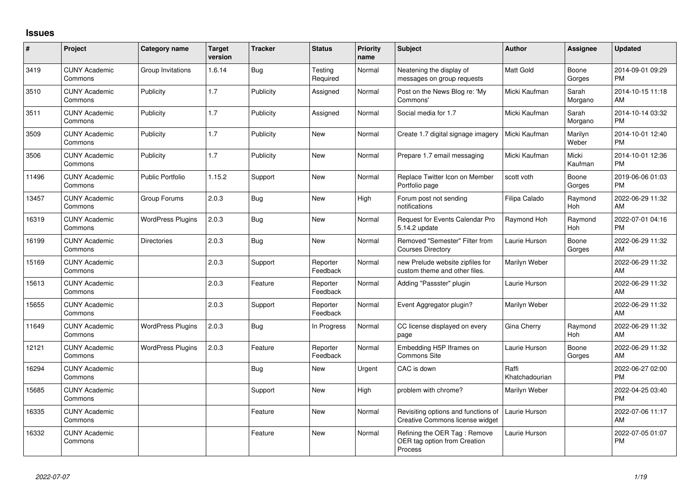## **Issues**

| #     | Project                         | <b>Category name</b>     | <b>Target</b><br>version | <b>Tracker</b> | <b>Status</b>        | <b>Priority</b><br>name | <b>Subject</b>                                                          | <b>Author</b>           | <b>Assignee</b>  | <b>Updated</b>                |
|-------|---------------------------------|--------------------------|--------------------------|----------------|----------------------|-------------------------|-------------------------------------------------------------------------|-------------------------|------------------|-------------------------------|
| 3419  | <b>CUNY Academic</b><br>Commons | Group Invitations        | 1.6.14                   | Bug            | Testing<br>Required  | Normal                  | Neatening the display of<br>messages on group requests                  | Matt Gold               | Boone<br>Gorges  | 2014-09-01 09:29<br><b>PM</b> |
| 3510  | <b>CUNY Academic</b><br>Commons | Publicity                | 1.7                      | Publicity      | Assigned             | Normal                  | Post on the News Blog re: 'My<br>Commons'                               | Micki Kaufman           | Sarah<br>Morgano | 2014-10-15 11:18<br>AM        |
| 3511  | <b>CUNY Academic</b><br>Commons | Publicity                | 1.7                      | Publicity      | Assigned             | Normal                  | Social media for 1.7                                                    | Micki Kaufman           | Sarah<br>Morgano | 2014-10-14 03:32<br><b>PM</b> |
| 3509  | <b>CUNY Academic</b><br>Commons | Publicity                | 1.7                      | Publicity      | New                  | Normal                  | Create 1.7 digital signage imagery                                      | Micki Kaufman           | Marilyn<br>Weber | 2014-10-01 12:40<br><b>PM</b> |
| 3506  | <b>CUNY Academic</b><br>Commons | Publicity                | 1.7                      | Publicity      | <b>New</b>           | Normal                  | Prepare 1.7 email messaging                                             | Micki Kaufman           | Micki<br>Kaufman | 2014-10-01 12:36<br><b>PM</b> |
| 11496 | <b>CUNY Academic</b><br>Commons | Public Portfolio         | 1.15.2                   | Support        | New                  | Normal                  | Replace Twitter Icon on Member<br>Portfolio page                        | scott voth              | Boone<br>Gorges  | 2019-06-06 01:03<br><b>PM</b> |
| 13457 | <b>CUNY Academic</b><br>Commons | Group Forums             | 2.0.3                    | <b>Bug</b>     | <b>New</b>           | High                    | Forum post not sending<br>notifications                                 | Filipa Calado           | Raymond<br>Hoh   | 2022-06-29 11:32<br>AM        |
| 16319 | <b>CUNY Academic</b><br>Commons | <b>WordPress Plugins</b> | 2.0.3                    | <b>Bug</b>     | New                  | Normal                  | Request for Events Calendar Pro<br>5.14.2 update                        | Raymond Hoh             | Raymond<br>Hoh   | 2022-07-01 04:16<br><b>PM</b> |
| 16199 | <b>CUNY Academic</b><br>Commons | <b>Directories</b>       | 2.0.3                    | Bug            | <b>New</b>           | Normal                  | Removed "Semester" Filter from<br><b>Courses Directory</b>              | Laurie Hurson           | Boone<br>Gorges  | 2022-06-29 11:32<br>AM        |
| 15169 | <b>CUNY Academic</b><br>Commons |                          | 2.0.3                    | Support        | Reporter<br>Feedback | Normal                  | new Prelude website zipfiles for<br>custom theme and other files.       | Marilyn Weber           |                  | 2022-06-29 11:32<br>AM        |
| 15613 | <b>CUNY Academic</b><br>Commons |                          | 2.0.3                    | Feature        | Reporter<br>Feedback | Normal                  | Adding "Passster" plugin                                                | Laurie Hurson           |                  | 2022-06-29 11:32<br>AM        |
| 15655 | <b>CUNY Academic</b><br>Commons |                          | 2.0.3                    | Support        | Reporter<br>Feedback | Normal                  | Event Aggregator plugin?                                                | Marilyn Weber           |                  | 2022-06-29 11:32<br>AM        |
| 11649 | <b>CUNY Academic</b><br>Commons | <b>WordPress Plugins</b> | 2.0.3                    | Bug            | In Progress          | Normal                  | CC license displayed on every<br>page                                   | <b>Gina Cherry</b>      | Raymond<br>Hoh   | 2022-06-29 11:32<br>AM        |
| 12121 | <b>CUNY Academic</b><br>Commons | <b>WordPress Plugins</b> | 2.0.3                    | Feature        | Reporter<br>Feedback | Normal                  | Embedding H5P Iframes on<br>Commons Site                                | Laurie Hurson           | Boone<br>Gorges  | 2022-06-29 11:32<br>AM        |
| 16294 | <b>CUNY Academic</b><br>Commons |                          |                          | Bug            | <b>New</b>           | Urgent                  | CAC is down                                                             | Raffi<br>Khatchadourian |                  | 2022-06-27 02:00<br><b>PM</b> |
| 15685 | <b>CUNY Academic</b><br>Commons |                          |                          | Support        | <b>New</b>           | High                    | problem with chrome?                                                    | Marilyn Weber           |                  | 2022-04-25 03:40<br><b>PM</b> |
| 16335 | <b>CUNY Academic</b><br>Commons |                          |                          | Feature        | <b>New</b>           | Normal                  | Revisiting options and functions of<br>Creative Commons license widget  | Laurie Hurson           |                  | 2022-07-06 11:17<br>AM        |
| 16332 | <b>CUNY Academic</b><br>Commons |                          |                          | Feature        | <b>New</b>           | Normal                  | Refining the OER Tag: Remove<br>OER tag option from Creation<br>Process | Laurie Hurson           |                  | 2022-07-05 01:07<br><b>PM</b> |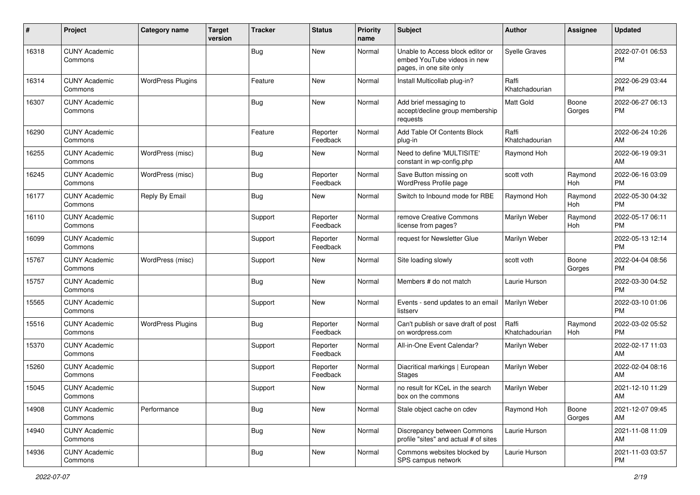| #     | Project                         | <b>Category name</b>     | <b>Target</b><br>version | <b>Tracker</b> | <b>Status</b>        | <b>Priority</b><br>name | <b>Subject</b>                                                                             | Author                  | <b>Assignee</b> | <b>Updated</b>                |
|-------|---------------------------------|--------------------------|--------------------------|----------------|----------------------|-------------------------|--------------------------------------------------------------------------------------------|-------------------------|-----------------|-------------------------------|
| 16318 | <b>CUNY Academic</b><br>Commons |                          |                          | <b>Bug</b>     | New                  | Normal                  | Unable to Access block editor or<br>embed YouTube videos in new<br>pages, in one site only | <b>Syelle Graves</b>    |                 | 2022-07-01 06:53<br><b>PM</b> |
| 16314 | <b>CUNY Academic</b><br>Commons | <b>WordPress Plugins</b> |                          | Feature        | <b>New</b>           | Normal                  | Install Multicollab plug-in?                                                               | Raffi<br>Khatchadourian |                 | 2022-06-29 03:44<br><b>PM</b> |
| 16307 | <b>CUNY Academic</b><br>Commons |                          |                          | <b>Bug</b>     | New                  | Normal                  | Add brief messaging to<br>accept/decline group membership<br>requests                      | <b>Matt Gold</b>        | Boone<br>Gorges | 2022-06-27 06:13<br><b>PM</b> |
| 16290 | <b>CUNY Academic</b><br>Commons |                          |                          | Feature        | Reporter<br>Feedback | Normal                  | Add Table Of Contents Block<br>plug-in                                                     | Raffi<br>Khatchadourian |                 | 2022-06-24 10:26<br>AM        |
| 16255 | <b>CUNY Academic</b><br>Commons | WordPress (misc)         |                          | <b>Bug</b>     | New                  | Normal                  | Need to define 'MULTISITE'<br>constant in wp-config.php                                    | Raymond Hoh             |                 | 2022-06-19 09:31<br>AM        |
| 16245 | <b>CUNY Academic</b><br>Commons | WordPress (misc)         |                          | Bug            | Reporter<br>Feedback | Normal                  | Save Button missing on<br>WordPress Profile page                                           | scott voth              | Raymond<br>Hoh  | 2022-06-16 03:09<br><b>PM</b> |
| 16177 | <b>CUNY Academic</b><br>Commons | Reply By Email           |                          | <b>Bug</b>     | New                  | Normal                  | Switch to Inbound mode for RBE                                                             | Raymond Hoh             | Raymond<br>Hoh  | 2022-05-30 04:32<br><b>PM</b> |
| 16110 | <b>CUNY Academic</b><br>Commons |                          |                          | Support        | Reporter<br>Feedback | Normal                  | remove Creative Commons<br>license from pages?                                             | Marilyn Weber           | Raymond<br>Hoh  | 2022-05-17 06:11<br><b>PM</b> |
| 16099 | <b>CUNY Academic</b><br>Commons |                          |                          | Support        | Reporter<br>Feedback | Normal                  | request for Newsletter Glue                                                                | Marilyn Weber           |                 | 2022-05-13 12:14<br><b>PM</b> |
| 15767 | <b>CUNY Academic</b><br>Commons | WordPress (misc)         |                          | Support        | New                  | Normal                  | Site loading slowly                                                                        | scott voth              | Boone<br>Gorges | 2022-04-04 08:56<br><b>PM</b> |
| 15757 | <b>CUNY Academic</b><br>Commons |                          |                          | Bug            | New                  | Normal                  | Members # do not match                                                                     | Laurie Hurson           |                 | 2022-03-30 04:52<br><b>PM</b> |
| 15565 | <b>CUNY Academic</b><br>Commons |                          |                          | Support        | New                  | Normal                  | Events - send updates to an email<br>listserv                                              | Marilyn Weber           |                 | 2022-03-10 01:06<br><b>PM</b> |
| 15516 | <b>CUNY Academic</b><br>Commons | <b>WordPress Plugins</b> |                          | Bug            | Reporter<br>Feedback | Normal                  | Can't publish or save draft of post<br>on wordpress.com                                    | Raffi<br>Khatchadourian | Raymond<br>Hoh  | 2022-03-02 05:52<br><b>PM</b> |
| 15370 | <b>CUNY Academic</b><br>Commons |                          |                          | Support        | Reporter<br>Feedback | Normal                  | All-in-One Event Calendar?                                                                 | Marilyn Weber           |                 | 2022-02-17 11:03<br>AM        |
| 15260 | <b>CUNY Academic</b><br>Commons |                          |                          | Support        | Reporter<br>Feedback | Normal                  | Diacritical markings   European<br>Stages                                                  | Marilyn Weber           |                 | 2022-02-04 08:16<br>AM        |
| 15045 | <b>CUNY Academic</b><br>Commons |                          |                          | Support        | New                  | Normal                  | no result for KCeL in the search<br>box on the commons                                     | Marilyn Weber           |                 | 2021-12-10 11:29<br>AM        |
| 14908 | <b>CUNY Academic</b><br>Commons | Performance              |                          | Bug            | New                  | Normal                  | Stale object cache on cdev                                                                 | Raymond Hoh             | Boone<br>Gorges | 2021-12-07 09:45<br>AM        |
| 14940 | <b>CUNY Academic</b><br>Commons |                          |                          | <b>Bug</b>     | New                  | Normal                  | Discrepancy between Commons<br>profile "sites" and actual # of sites                       | Laurie Hurson           |                 | 2021-11-08 11:09<br>AM        |
| 14936 | <b>CUNY Academic</b><br>Commons |                          |                          | <b>Bug</b>     | New                  | Normal                  | Commons websites blocked by<br>SPS campus network                                          | Laurie Hurson           |                 | 2021-11-03 03:57<br><b>PM</b> |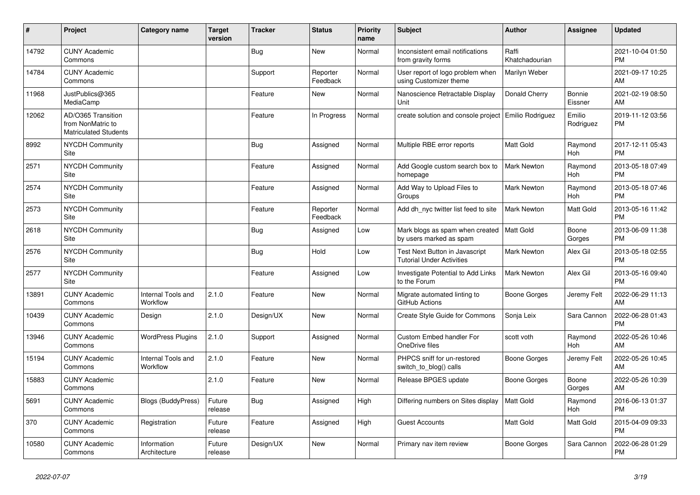| ∦     | Project                                                                 | <b>Category name</b>           | <b>Target</b><br>version | <b>Tracker</b> | <b>Status</b>        | <b>Priority</b><br>name | <b>Subject</b>                                                            | <b>Author</b>           | <b>Assignee</b>          | <b>Updated</b>                |
|-------|-------------------------------------------------------------------------|--------------------------------|--------------------------|----------------|----------------------|-------------------------|---------------------------------------------------------------------------|-------------------------|--------------------------|-------------------------------|
| 14792 | <b>CUNY Academic</b><br>Commons                                         |                                |                          | <b>Bug</b>     | New                  | Normal                  | Inconsistent email notifications<br>from gravity forms                    | Raffi<br>Khatchadourian |                          | 2021-10-04 01:50<br><b>PM</b> |
| 14784 | <b>CUNY Academic</b><br>Commons                                         |                                |                          | Support        | Reporter<br>Feedback | Normal                  | User report of logo problem when<br>using Customizer theme                | Marilyn Weber           |                          | 2021-09-17 10:25<br>AM        |
| 11968 | JustPublics@365<br>MediaCamp                                            |                                |                          | Feature        | <b>New</b>           | Normal                  | Nanoscience Retractable Display<br>Unit                                   | Donald Cherry           | <b>Bonnie</b><br>Eissner | 2021-02-19 08:50<br>AM        |
| 12062 | AD/O365 Transition<br>from NonMatric to<br><b>Matriculated Students</b> |                                |                          | Feature        | In Progress          | Normal                  | create solution and console project                                       | <b>Emilio Rodriguez</b> | Emilio<br>Rodriguez      | 2019-11-12 03:56<br><b>PM</b> |
| 8992  | NYCDH Community<br>Site                                                 |                                |                          | Bug            | Assigned             | Normal                  | Multiple RBE error reports                                                | <b>Matt Gold</b>        | Raymond<br>Hoh           | 2017-12-11 05:43<br><b>PM</b> |
| 2571  | <b>NYCDH Community</b><br>Site                                          |                                |                          | Feature        | Assigned             | Normal                  | Add Google custom search box to<br>homepage                               | <b>Mark Newton</b>      | Raymond<br>Hoh           | 2013-05-18 07:49<br><b>PM</b> |
| 2574  | NYCDH Community<br>Site                                                 |                                |                          | Feature        | Assigned             | Normal                  | Add Way to Upload Files to<br>Groups                                      | Mark Newton             | Raymond<br>Hoh           | 2013-05-18 07:46<br><b>PM</b> |
| 2573  | NYCDH Community<br>Site                                                 |                                |                          | Feature        | Reporter<br>Feedback | Normal                  | Add dh_nyc twitter list feed to site                                      | <b>Mark Newton</b>      | Matt Gold                | 2013-05-16 11:42<br><b>PM</b> |
| 2618  | NYCDH Community<br>Site                                                 |                                |                          | Bug            | Assigned             | Low                     | Mark blogs as spam when created<br>by users marked as spam                | Matt Gold               | Boone<br>Gorges          | 2013-06-09 11:38<br><b>PM</b> |
| 2576  | <b>NYCDH Community</b><br>Site                                          |                                |                          | <b>Bug</b>     | Hold                 | Low                     | <b>Test Next Button in Javascript</b><br><b>Tutorial Under Activities</b> | Mark Newton             | Alex Gil                 | 2013-05-18 02:55<br><b>PM</b> |
| 2577  | NYCDH Community<br>Site                                                 |                                |                          | Feature        | Assigned             | Low                     | Investigate Potential to Add Links<br>to the Forum                        | <b>Mark Newton</b>      | Alex Gil                 | 2013-05-16 09:40<br><b>PM</b> |
| 13891 | <b>CUNY Academic</b><br>Commons                                         | Internal Tools and<br>Workflow | 2.1.0                    | Feature        | <b>New</b>           | Normal                  | Migrate automated linting to<br>GitHub Actions                            | Boone Gorges            | Jeremy Felt              | 2022-06-29 11:13<br>AM        |
| 10439 | <b>CUNY Academic</b><br>Commons                                         | Design                         | 2.1.0                    | Design/UX      | <b>New</b>           | Normal                  | <b>Create Style Guide for Commons</b>                                     | Sonja Leix              | Sara Cannon              | 2022-06-28 01:43<br>PM        |
| 13946 | <b>CUNY Academic</b><br>Commons                                         | <b>WordPress Plugins</b>       | 2.1.0                    | Support        | Assigned             | Normal                  | <b>Custom Embed handler For</b><br>OneDrive files                         | scott voth              | Raymond<br>Hoh           | 2022-05-26 10:46<br>AM        |
| 15194 | <b>CUNY Academic</b><br>Commons                                         | Internal Tools and<br>Workflow | 2.1.0                    | Feature        | <b>New</b>           | Normal                  | PHPCS sniff for un-restored<br>switch_to_blog() calls                     | <b>Boone Gorges</b>     | Jeremy Felt              | 2022-05-26 10:45<br>AM        |
| 15883 | <b>CUNY Academic</b><br>Commons                                         |                                | 2.1.0                    | Feature        | <b>New</b>           | Normal                  | Release BPGES update                                                      | <b>Boone Gorges</b>     | Boone<br>Gorges          | 2022-05-26 10:39<br>AM        |
| 5691  | <b>CUNY Academic</b><br>Commons                                         | <b>Blogs (BuddyPress)</b>      | Future<br>release        | Bug            | Assigned             | High                    | Differing numbers on Sites display                                        | Matt Gold               | Raymond<br>Hoh           | 2016-06-13 01:37<br><b>PM</b> |
| 370   | <b>CUNY Academic</b><br>Commons                                         | Registration                   | Future<br>release        | Feature        | Assigned             | High                    | <b>Guest Accounts</b>                                                     | Matt Gold               | Matt Gold                | 2015-04-09 09:33<br><b>PM</b> |
| 10580 | <b>CUNY Academic</b><br>Commons                                         | Information<br>Architecture    | Future<br>release        | Design/UX      | <b>New</b>           | Normal                  | Primary nav item review                                                   | Boone Gorges            | Sara Cannon              | 2022-06-28 01:29<br><b>PM</b> |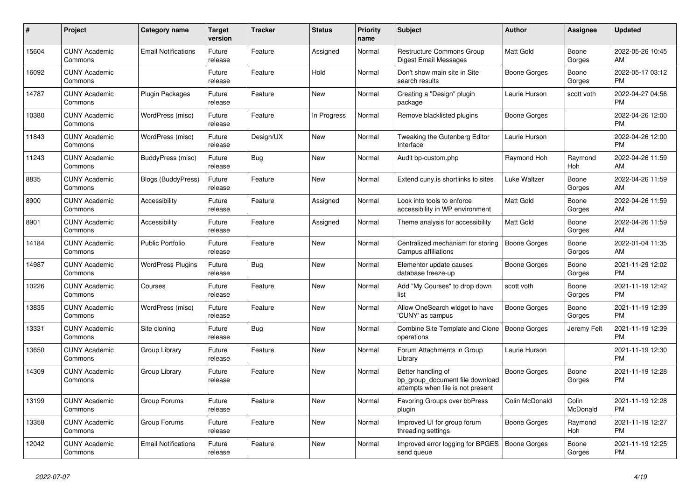| #     | <b>Project</b>                  | <b>Category name</b>       | <b>Target</b><br>version | <b>Tracker</b> | <b>Status</b> | <b>Priority</b><br>name | <b>Subject</b>                                                                             | Author              | Assignee          | <b>Updated</b>                |
|-------|---------------------------------|----------------------------|--------------------------|----------------|---------------|-------------------------|--------------------------------------------------------------------------------------------|---------------------|-------------------|-------------------------------|
| 15604 | <b>CUNY Academic</b><br>Commons | <b>Email Notifications</b> | Future<br>release        | Feature        | Assigned      | Normal                  | <b>Restructure Commons Group</b><br>Digest Email Messages                                  | <b>Matt Gold</b>    | Boone<br>Gorges   | 2022-05-26 10:45<br>AM        |
| 16092 | <b>CUNY Academic</b><br>Commons |                            | Future<br>release        | Feature        | Hold          | Normal                  | Don't show main site in Site<br>search results                                             | Boone Gorges        | Boone<br>Gorges   | 2022-05-17 03:12<br><b>PM</b> |
| 14787 | <b>CUNY Academic</b><br>Commons | <b>Plugin Packages</b>     | Future<br>release        | Feature        | New           | Normal                  | Creating a "Design" plugin<br>package                                                      | Laurie Hurson       | scott voth        | 2022-04-27 04:56<br><b>PM</b> |
| 10380 | <b>CUNY Academic</b><br>Commons | WordPress (misc)           | Future<br>release        | Feature        | In Progress   | Normal                  | Remove blacklisted plugins                                                                 | Boone Gorges        |                   | 2022-04-26 12:00<br><b>PM</b> |
| 11843 | <b>CUNY Academic</b><br>Commons | WordPress (misc)           | Future<br>release        | Design/UX      | New           | Normal                  | Tweaking the Gutenberg Editor<br>Interface                                                 | Laurie Hurson       |                   | 2022-04-26 12:00<br><b>PM</b> |
| 11243 | <b>CUNY Academic</b><br>Commons | BuddyPress (misc)          | Future<br>release        | Bug            | New           | Normal                  | Audit bp-custom.php                                                                        | Raymond Hoh         | Raymond<br>Hoh    | 2022-04-26 11:59<br>AM        |
| 8835  | <b>CUNY Academic</b><br>Commons | <b>Blogs (BuddyPress)</b>  | Future<br>release        | Feature        | <b>New</b>    | Normal                  | Extend cuny is shortlinks to sites                                                         | <b>Luke Waltzer</b> | Boone<br>Gorges   | 2022-04-26 11:59<br>AM        |
| 8900  | <b>CUNY Academic</b><br>Commons | Accessibility              | Future<br>release        | Feature        | Assigned      | Normal                  | Look into tools to enforce<br>accessibility in WP environment                              | <b>Matt Gold</b>    | Boone<br>Gorges   | 2022-04-26 11:59<br>AM        |
| 8901  | <b>CUNY Academic</b><br>Commons | Accessibility              | Future<br>release        | Feature        | Assigned      | Normal                  | Theme analysis for accessibility                                                           | <b>Matt Gold</b>    | Boone<br>Gorges   | 2022-04-26 11:59<br>AM        |
| 14184 | <b>CUNY Academic</b><br>Commons | <b>Public Portfolio</b>    | Future<br>release        | Feature        | <b>New</b>    | Normal                  | Centralized mechanism for storing<br>Campus affiliations                                   | <b>Boone Gorges</b> | Boone<br>Gorges   | 2022-01-04 11:35<br>AM        |
| 14987 | <b>CUNY Academic</b><br>Commons | <b>WordPress Plugins</b>   | Future<br>release        | Bug            | <b>New</b>    | Normal                  | Elementor update causes<br>database freeze-up                                              | Boone Gorges        | Boone<br>Gorges   | 2021-11-29 12:02<br><b>PM</b> |
| 10226 | <b>CUNY Academic</b><br>Commons | Courses                    | Future<br>release        | Feature        | New           | Normal                  | Add "My Courses" to drop down<br>list                                                      | scott voth          | Boone<br>Gorges   | 2021-11-19 12:42<br><b>PM</b> |
| 13835 | <b>CUNY Academic</b><br>Commons | WordPress (misc)           | Future<br>release        | Feature        | New           | Normal                  | Allow OneSearch widget to have<br>'CUNY' as campus                                         | <b>Boone Gorges</b> | Boone<br>Gorges   | 2021-11-19 12:39<br><b>PM</b> |
| 13331 | <b>CUNY Academic</b><br>Commons | Site cloning               | Future<br>release        | Bug            | <b>New</b>    | Normal                  | Combine Site Template and Clone<br>operations                                              | <b>Boone Gorges</b> | Jeremy Felt       | 2021-11-19 12:39<br><b>PM</b> |
| 13650 | <b>CUNY Academic</b><br>Commons | Group Library              | Future<br>release        | Feature        | New           | Normal                  | Forum Attachments in Group<br>Library                                                      | Laurie Hurson       |                   | 2021-11-19 12:30<br><b>PM</b> |
| 14309 | <b>CUNY Academic</b><br>Commons | Group Library              | Future<br>release        | Feature        | <b>New</b>    | Normal                  | Better handling of<br>bp group document file download<br>attempts when file is not present | <b>Boone Gorges</b> | Boone<br>Gorges   | 2021-11-19 12:28<br><b>PM</b> |
| 13199 | <b>CUNY Academic</b><br>Commons | Group Forums               | Future<br>release        | Feature        | <b>New</b>    | Normal                  | Favoring Groups over bbPress<br>plugin                                                     | Colin McDonald      | Colin<br>McDonald | 2021-11-19 12:28<br><b>PM</b> |
| 13358 | <b>CUNY Academic</b><br>Commons | Group Forums               | Future<br>release        | Feature        | <b>New</b>    | Normal                  | Improved UI for group forum<br>threading settings                                          | Boone Gorges        | Raymond<br>Hoh    | 2021-11-19 12:27<br><b>PM</b> |
| 12042 | <b>CUNY Academic</b><br>Commons | <b>Email Notifications</b> | Future<br>release        | Feature        | <b>New</b>    | Normal                  | Improved error logging for BPGES<br>send queue                                             | <b>Boone Gorges</b> | Boone<br>Gorges   | 2021-11-19 12:25<br><b>PM</b> |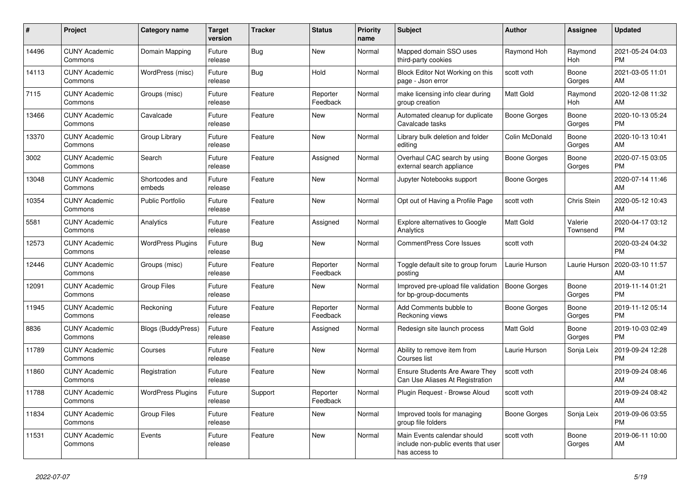| #     | <b>Project</b>                  | <b>Category name</b>      | <b>Target</b><br>version | <b>Tracker</b> | <b>Status</b>        | <b>Priority</b><br>name | <b>Subject</b>                                                                      | <b>Author</b>       | Assignee            | <b>Updated</b>                |
|-------|---------------------------------|---------------------------|--------------------------|----------------|----------------------|-------------------------|-------------------------------------------------------------------------------------|---------------------|---------------------|-------------------------------|
| 14496 | <b>CUNY Academic</b><br>Commons | Domain Mapping            | Future<br>release        | Bug            | <b>New</b>           | Normal                  | Mapped domain SSO uses<br>third-party cookies                                       | Raymond Hoh         | Raymond<br>Hoh      | 2021-05-24 04:03<br><b>PM</b> |
| 14113 | <b>CUNY Academic</b><br>Commons | WordPress (misc)          | Future<br>release        | Bug            | Hold                 | Normal                  | Block Editor Not Working on this<br>page - Json error                               | scott voth          | Boone<br>Gorges     | 2021-03-05 11:01<br>AM        |
| 7115  | <b>CUNY Academic</b><br>Commons | Groups (misc)             | Future<br>release        | Feature        | Reporter<br>Feedback | Normal                  | make licensing info clear during<br>group creation                                  | <b>Matt Gold</b>    | Raymond<br>Hoh      | 2020-12-08 11:32<br>AM        |
| 13466 | <b>CUNY Academic</b><br>Commons | Cavalcade                 | Future<br>release        | Feature        | <b>New</b>           | Normal                  | Automated cleanup for duplicate<br>Cavalcade tasks                                  | Boone Gorges        | Boone<br>Gorges     | 2020-10-13 05:24<br><b>PM</b> |
| 13370 | <b>CUNY Academic</b><br>Commons | Group Library             | Future<br>release        | Feature        | New                  | Normal                  | Library bulk deletion and folder<br>editing                                         | Colin McDonald      | Boone<br>Gorges     | 2020-10-13 10:41<br>AM        |
| 3002  | <b>CUNY Academic</b><br>Commons | Search                    | Future<br>release        | Feature        | Assigned             | Normal                  | Overhaul CAC search by using<br>external search appliance                           | Boone Gorges        | Boone<br>Gorges     | 2020-07-15 03:05<br><b>PM</b> |
| 13048 | <b>CUNY Academic</b><br>Commons | Shortcodes and<br>embeds  | Future<br>release        | Feature        | <b>New</b>           | Normal                  | Jupyter Notebooks support                                                           | <b>Boone Gorges</b> |                     | 2020-07-14 11:46<br>AM        |
| 10354 | <b>CUNY Academic</b><br>Commons | <b>Public Portfolio</b>   | Future<br>release        | Feature        | <b>New</b>           | Normal                  | Opt out of Having a Profile Page                                                    | scott voth          | Chris Stein         | 2020-05-12 10:43<br>AM        |
| 5581  | <b>CUNY Academic</b><br>Commons | Analytics                 | Future<br>release        | Feature        | Assigned             | Normal                  | <b>Explore alternatives to Google</b><br>Analytics                                  | Matt Gold           | Valerie<br>Townsend | 2020-04-17 03:12<br><b>PM</b> |
| 12573 | <b>CUNY Academic</b><br>Commons | <b>WordPress Plugins</b>  | Future<br>release        | Bug            | New                  | Normal                  | <b>CommentPress Core Issues</b>                                                     | scott voth          |                     | 2020-03-24 04:32<br><b>PM</b> |
| 12446 | <b>CUNY Academic</b><br>Commons | Groups (misc)             | Future<br>release        | Feature        | Reporter<br>Feedback | Normal                  | Toggle default site to group forum<br>posting                                       | Laurie Hurson       | Laurie Hurson       | 2020-03-10 11:57<br>AM        |
| 12091 | <b>CUNY Academic</b><br>Commons | <b>Group Files</b>        | Future<br>release        | Feature        | New                  | Normal                  | Improved pre-upload file validation<br>for bp-group-documents                       | Boone Gorges        | Boone<br>Gorges     | 2019-11-14 01:21<br><b>PM</b> |
| 11945 | <b>CUNY Academic</b><br>Commons | Reckoning                 | Future<br>release        | Feature        | Reporter<br>Feedback | Normal                  | Add Comments bubble to<br>Reckoning views                                           | <b>Boone Gorges</b> | Boone<br>Gorges     | 2019-11-12 05:14<br><b>PM</b> |
| 8836  | <b>CUNY Academic</b><br>Commons | <b>Blogs (BuddyPress)</b> | Future<br>release        | Feature        | Assigned             | Normal                  | Redesign site launch process                                                        | <b>Matt Gold</b>    | Boone<br>Gorges     | 2019-10-03 02:49<br><b>PM</b> |
| 11789 | <b>CUNY Academic</b><br>Commons | Courses                   | Future<br>release        | Feature        | New                  | Normal                  | Ability to remove item from<br>Courses list                                         | Laurie Hurson       | Sonja Leix          | 2019-09-24 12:28<br><b>PM</b> |
| 11860 | <b>CUNY Academic</b><br>Commons | Registration              | Future<br>release        | Feature        | <b>New</b>           | Normal                  | <b>Ensure Students Are Aware They</b><br>Can Use Aliases At Registration            | scott voth          |                     | 2019-09-24 08:46<br>AM        |
| 11788 | <b>CUNY Academic</b><br>Commons | <b>WordPress Plugins</b>  | Future<br>release        | Support        | Reporter<br>Feedback | Normal                  | Plugin Request - Browse Aloud                                                       | scott voth          |                     | 2019-09-24 08:42<br>AM        |
| 11834 | <b>CUNY Academic</b><br>Commons | <b>Group Files</b>        | Future<br>release        | Feature        | <b>New</b>           | Normal                  | Improved tools for managing<br>group file folders                                   | <b>Boone Gorges</b> | Sonja Leix          | 2019-09-06 03:55<br><b>PM</b> |
| 11531 | <b>CUNY Academic</b><br>Commons | Events                    | Future<br>release        | Feature        | <b>New</b>           | Normal                  | Main Events calendar should<br>include non-public events that user<br>has access to | scott voth          | Boone<br>Gorges     | 2019-06-11 10:00<br>AM        |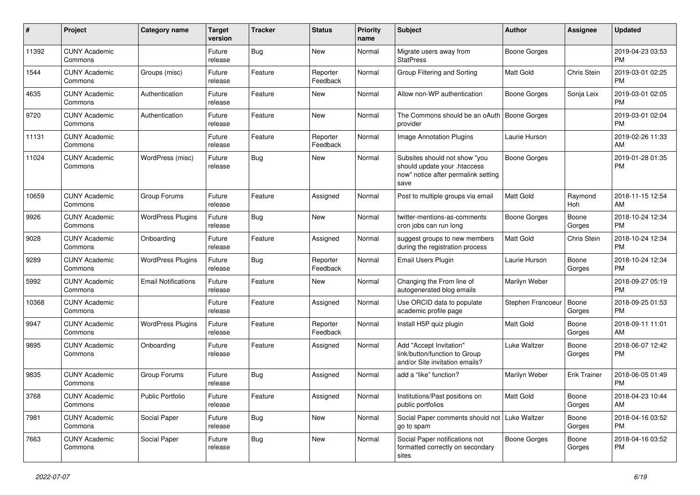| #     | Project                         | <b>Category name</b>       | <b>Target</b><br>version | <b>Tracker</b> | <b>Status</b>        | Priority<br>name | <b>Subject</b>                                                                                               | <b>Author</b>       | <b>Assignee</b>     | <b>Updated</b>                |
|-------|---------------------------------|----------------------------|--------------------------|----------------|----------------------|------------------|--------------------------------------------------------------------------------------------------------------|---------------------|---------------------|-------------------------------|
| 11392 | <b>CUNY Academic</b><br>Commons |                            | Future<br>release        | Bug            | <b>New</b>           | Normal           | Migrate users away from<br><b>StatPress</b>                                                                  | Boone Gorges        |                     | 2019-04-23 03:53<br><b>PM</b> |
| 1544  | <b>CUNY Academic</b><br>Commons | Groups (misc)              | Future<br>release        | Feature        | Reporter<br>Feedback | Normal           | Group Filtering and Sorting                                                                                  | <b>Matt Gold</b>    | <b>Chris Stein</b>  | 2019-03-01 02:25<br><b>PM</b> |
| 4635  | <b>CUNY Academic</b><br>Commons | Authentication             | Future<br>release        | Feature        | New                  | Normal           | Allow non-WP authentication                                                                                  | Boone Gorges        | Sonja Leix          | 2019-03-01 02:05<br><b>PM</b> |
| 9720  | <b>CUNY Academic</b><br>Commons | Authentication             | Future<br>release        | Feature        | <b>New</b>           | Normal           | The Commons should be an oAuth<br>provider                                                                   | <b>Boone Gorges</b> |                     | 2019-03-01 02:04<br><b>PM</b> |
| 11131 | <b>CUNY Academic</b><br>Commons |                            | Future<br>release        | Feature        | Reporter<br>Feedback | Normal           | <b>Image Annotation Plugins</b>                                                                              | Laurie Hurson       |                     | 2019-02-26 11:33<br>AM        |
| 11024 | <b>CUNY Academic</b><br>Commons | WordPress (misc)           | Future<br>release        | Bug            | New                  | Normal           | Subsites should not show "you<br>should update your .htaccess<br>now" notice after permalink setting<br>save | <b>Boone Gorges</b> |                     | 2019-01-28 01:35<br><b>PM</b> |
| 10659 | <b>CUNY Academic</b><br>Commons | Group Forums               | Future<br>release        | Feature        | Assigned             | Normal           | Post to multiple groups via email                                                                            | <b>Matt Gold</b>    | Raymond<br>Hoh      | 2018-11-15 12:54<br>AM        |
| 9926  | <b>CUNY Academic</b><br>Commons | <b>WordPress Plugins</b>   | Future<br>release        | Bug            | New                  | Normal           | twitter-mentions-as-comments<br>cron jobs can run long                                                       | Boone Gorges        | Boone<br>Gorges     | 2018-10-24 12:34<br><b>PM</b> |
| 9028  | <b>CUNY Academic</b><br>Commons | Onboarding                 | Future<br>release        | Feature        | Assigned             | Normal           | suggest groups to new members<br>during the registration process                                             | <b>Matt Gold</b>    | Chris Stein         | 2018-10-24 12:34<br><b>PM</b> |
| 9289  | <b>CUNY Academic</b><br>Commons | <b>WordPress Plugins</b>   | Future<br>release        | Bug            | Reporter<br>Feedback | Normal           | Email Users Plugin                                                                                           | Laurie Hurson       | Boone<br>Gorges     | 2018-10-24 12:34<br>PM        |
| 5992  | <b>CUNY Academic</b><br>Commons | <b>Email Notifications</b> | Future<br>release        | Feature        | New                  | Normal           | Changing the From line of<br>autogenerated blog emails                                                       | Marilyn Weber       |                     | 2018-09-27 05:19<br><b>PM</b> |
| 10368 | <b>CUNY Academic</b><br>Commons |                            | Future<br>release        | Feature        | Assigned             | Normal           | Use ORCID data to populate<br>academic profile page                                                          | Stephen Francoeur   | Boone<br>Gorges     | 2018-09-25 01:53<br><b>PM</b> |
| 9947  | <b>CUNY Academic</b><br>Commons | <b>WordPress Plugins</b>   | Future<br>release        | Feature        | Reporter<br>Feedback | Normal           | Install H5P quiz plugin                                                                                      | <b>Matt Gold</b>    | Boone<br>Gorges     | 2018-09-11 11:01<br>AM        |
| 9895  | <b>CUNY Academic</b><br>Commons | Onboarding                 | Future<br>release        | Feature        | Assigned             | Normal           | Add "Accept Invitation"<br>link/button/function to Group<br>and/or Site invitation emails?                   | <b>Luke Waltzer</b> | Boone<br>Gorges     | 2018-06-07 12:42<br><b>PM</b> |
| 9835  | <b>CUNY Academic</b><br>Commons | Group Forums               | Future<br>release        | Bug            | Assigned             | Normal           | add a "like" function?                                                                                       | Marilyn Weber       | <b>Erik Trainer</b> | 2018-06-05 01:49<br><b>PM</b> |
| 3768  | <b>CUNY Academic</b><br>Commons | Public Portfolio           | Future<br>release        | Feature        | Assigned             | Normal           | Institutions/Past positions on<br>public portfolios                                                          | Matt Gold           | Boone<br>Gorges     | 2018-04-23 10:44<br>AM        |
| 7981  | <b>CUNY Academic</b><br>Commons | Social Paper               | Future<br>release        | Bug            | New                  | Normal           | Social Paper comments should not Luke Waltzer<br>go to spam                                                  |                     | Boone<br>Gorges     | 2018-04-16 03:52<br><b>PM</b> |
| 7663  | <b>CUNY Academic</b><br>Commons | Social Paper               | Future<br>release        | Bug            | New                  | Normal           | Social Paper notifications not<br>formatted correctly on secondary<br>sites                                  | Boone Gorges        | Boone<br>Gorges     | 2018-04-16 03:52<br>PM        |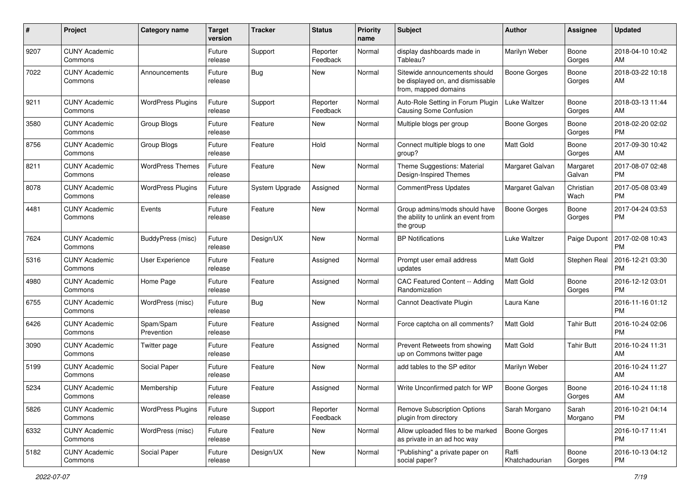| #    | Project                         | <b>Category name</b>     | <b>Target</b><br>version | <b>Tracker</b> | <b>Status</b>        | <b>Priority</b><br>name | <b>Subject</b>                                                                            | <b>Author</b>           | <b>Assignee</b>    | <b>Updated</b>                |
|------|---------------------------------|--------------------------|--------------------------|----------------|----------------------|-------------------------|-------------------------------------------------------------------------------------------|-------------------------|--------------------|-------------------------------|
| 9207 | <b>CUNY Academic</b><br>Commons |                          | Future<br>release        | Support        | Reporter<br>Feedback | Normal                  | display dashboards made in<br>Tableau?                                                    | Marilyn Weber           | Boone<br>Gorges    | 2018-04-10 10:42<br>AM        |
| 7022 | <b>CUNY Academic</b><br>Commons | Announcements            | Future<br>release        | <b>Bug</b>     | New                  | Normal                  | Sitewide announcements should<br>be displayed on, and dismissable<br>from, mapped domains | <b>Boone Gorges</b>     | Boone<br>Gorges    | 2018-03-22 10:18<br>AM        |
| 9211 | <b>CUNY Academic</b><br>Commons | <b>WordPress Plugins</b> | Future<br>release        | Support        | Reporter<br>Feedback | Normal                  | Auto-Role Setting in Forum Plugin<br><b>Causing Some Confusion</b>                        | Luke Waltzer            | Boone<br>Gorges    | 2018-03-13 11:44<br>AM        |
| 3580 | <b>CUNY Academic</b><br>Commons | Group Blogs              | Future<br>release        | Feature        | New                  | Normal                  | Multiple blogs per group                                                                  | <b>Boone Gorges</b>     | Boone<br>Gorges    | 2018-02-20 02:02<br><b>PM</b> |
| 8756 | <b>CUNY Academic</b><br>Commons | Group Blogs              | Future<br>release        | Feature        | Hold                 | Normal                  | Connect multiple blogs to one<br>group?                                                   | Matt Gold               | Boone<br>Gorges    | 2017-09-30 10:42<br>AM        |
| 8211 | <b>CUNY Academic</b><br>Commons | <b>WordPress Themes</b>  | Future<br>release        | Feature        | New                  | Normal                  | Theme Suggestions: Material<br>Design-Inspired Themes                                     | Margaret Galvan         | Margaret<br>Galvan | 2017-08-07 02:48<br><b>PM</b> |
| 8078 | <b>CUNY Academic</b><br>Commons | <b>WordPress Plugins</b> | Future<br>release        | System Upgrade | Assigned             | Normal                  | <b>CommentPress Updates</b>                                                               | Margaret Galvan         | Christian<br>Wach  | 2017-05-08 03:49<br><b>PM</b> |
| 4481 | <b>CUNY Academic</b><br>Commons | Events                   | Future<br>release        | Feature        | New                  | Normal                  | Group admins/mods should have<br>the ability to unlink an event from<br>the group         | Boone Gorges            | Boone<br>Gorges    | 2017-04-24 03:53<br><b>PM</b> |
| 7624 | <b>CUNY Academic</b><br>Commons | BuddyPress (misc)        | Future<br>release        | Design/UX      | New                  | Normal                  | <b>BP Notifications</b>                                                                   | Luke Waltzer            | Paige Dupont       | 2017-02-08 10:43<br><b>PM</b> |
| 5316 | <b>CUNY Academic</b><br>Commons | <b>User Experience</b>   | Future<br>release        | Feature        | Assigned             | Normal                  | Prompt user email address<br>updates                                                      | <b>Matt Gold</b>        | Stephen Real       | 2016-12-21 03:30<br><b>PM</b> |
| 4980 | <b>CUNY Academic</b><br>Commons | Home Page                | Future<br>release        | Feature        | Assigned             | Normal                  | CAC Featured Content -- Adding<br>Randomization                                           | <b>Matt Gold</b>        | Boone<br>Gorges    | 2016-12-12 03:01<br><b>PM</b> |
| 6755 | <b>CUNY Academic</b><br>Commons | WordPress (misc)         | Future<br>release        | Bug            | New                  | Normal                  | Cannot Deactivate Plugin                                                                  | Laura Kane              |                    | 2016-11-16 01:12<br><b>PM</b> |
| 6426 | <b>CUNY Academic</b><br>Commons | Spam/Spam<br>Prevention  | Future<br>release        | Feature        | Assigned             | Normal                  | Force captcha on all comments?                                                            | Matt Gold               | Tahir Butt         | 2016-10-24 02:06<br><b>PM</b> |
| 3090 | <b>CUNY Academic</b><br>Commons | Twitter page             | Future<br>release        | Feature        | Assigned             | Normal                  | Prevent Retweets from showing<br>up on Commons twitter page                               | <b>Matt Gold</b>        | <b>Tahir Butt</b>  | 2016-10-24 11:31<br>AM        |
| 5199 | <b>CUNY Academic</b><br>Commons | Social Paper             | Future<br>release        | Feature        | New                  | Normal                  | add tables to the SP editor                                                               | Marilyn Weber           |                    | 2016-10-24 11:27<br>AM        |
| 5234 | <b>CUNY Academic</b><br>Commons | Membership               | Future<br>release        | Feature        | Assigned             | Normal                  | Write Unconfirmed patch for WP                                                            | <b>Boone Gorges</b>     | Boone<br>Gorges    | 2016-10-24 11:18<br>AM        |
| 5826 | <b>CUNY Academic</b><br>Commons | <b>WordPress Plugins</b> | Future<br>release        | Support        | Reporter<br>Feedback | Normal                  | <b>Remove Subscription Options</b><br>plugin from directory                               | Sarah Morgano           | Sarah<br>Morgano   | 2016-10-21 04:14<br>PM        |
| 6332 | <b>CUNY Academic</b><br>Commons | WordPress (misc)         | Future<br>release        | Feature        | New                  | Normal                  | Allow uploaded files to be marked<br>as private in an ad hoc way                          | Boone Gorges            |                    | 2016-10-17 11:41<br><b>PM</b> |
| 5182 | <b>CUNY Academic</b><br>Commons | Social Paper             | Future<br>release        | Design/UX      | New                  | Normal                  | "Publishing" a private paper on<br>social paper?                                          | Raffi<br>Khatchadourian | Boone<br>Gorges    | 2016-10-13 04:12<br><b>PM</b> |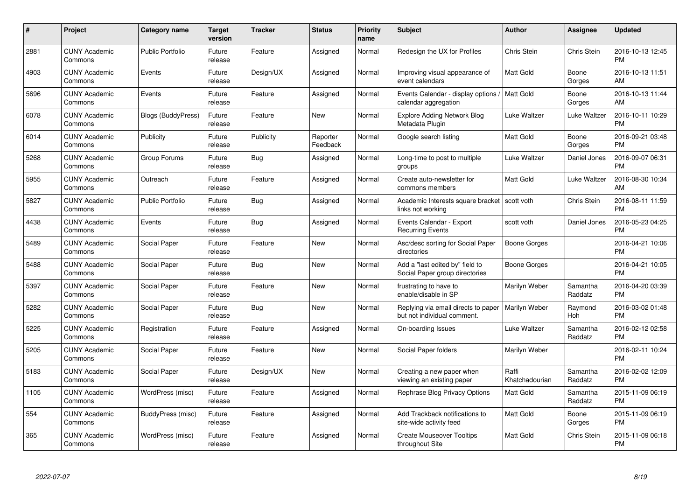| $\#$ | Project                         | <b>Category name</b>    | <b>Target</b><br>version | <b>Tracker</b> | <b>Status</b>        | <b>Priority</b><br>name | <b>Subject</b>                                                      | <b>Author</b>           | <b>Assignee</b>     | <b>Updated</b>                |
|------|---------------------------------|-------------------------|--------------------------|----------------|----------------------|-------------------------|---------------------------------------------------------------------|-------------------------|---------------------|-------------------------------|
| 2881 | <b>CUNY Academic</b><br>Commons | <b>Public Portfolio</b> | Future<br>release        | Feature        | Assigned             | Normal                  | Redesign the UX for Profiles                                        | Chris Stein             | <b>Chris Stein</b>  | 2016-10-13 12:45<br><b>PM</b> |
| 4903 | <b>CUNY Academic</b><br>Commons | Events                  | Future<br>release        | Design/UX      | Assigned             | Normal                  | Improving visual appearance of<br>event calendars                   | <b>Matt Gold</b>        | Boone<br>Gorges     | 2016-10-13 11:51<br>AM        |
| 5696 | <b>CUNY Academic</b><br>Commons | Events                  | Future<br>release        | Feature        | Assigned             | Normal                  | Events Calendar - display options<br>calendar aggregation           | Matt Gold               | Boone<br>Gorges     | 2016-10-13 11:44<br>AM        |
| 6078 | <b>CUNY Academic</b><br>Commons | Blogs (BuddyPress)      | Future<br>release        | Feature        | <b>New</b>           | Normal                  | <b>Explore Adding Network Blog</b><br>Metadata Plugin               | Luke Waltzer            | Luke Waltzer        | 2016-10-11 10:29<br><b>PM</b> |
| 6014 | <b>CUNY Academic</b><br>Commons | Publicity               | Future<br>release        | Publicity      | Reporter<br>Feedback | Normal                  | Google search listing                                               | <b>Matt Gold</b>        | Boone<br>Gorges     | 2016-09-21 03:48<br><b>PM</b> |
| 5268 | <b>CUNY Academic</b><br>Commons | Group Forums            | Future<br>release        | Bug            | Assigned             | Normal                  | Long-time to post to multiple<br>groups                             | Luke Waltzer            | Daniel Jones        | 2016-09-07 06:31<br><b>PM</b> |
| 5955 | <b>CUNY Academic</b><br>Commons | Outreach                | Future<br>release        | Feature        | Assigned             | Normal                  | Create auto-newsletter for<br>commons members                       | Matt Gold               | Luke Waltzer        | 2016-08-30 10:34<br>AM        |
| 5827 | <b>CUNY Academic</b><br>Commons | <b>Public Portfolio</b> | Future<br>release        | <b>Bug</b>     | Assigned             | Normal                  | Academic Interests square bracket   scott voth<br>links not working |                         | Chris Stein         | 2016-08-11 11:59<br><b>PM</b> |
| 4438 | <b>CUNY Academic</b><br>Commons | Events                  | Future<br>release        | Bug            | Assigned             | Normal                  | Events Calendar - Export<br><b>Recurring Events</b>                 | scott voth              | Daniel Jones        | 2016-05-23 04:25<br><b>PM</b> |
| 5489 | <b>CUNY Academic</b><br>Commons | Social Paper            | Future<br>release        | Feature        | New                  | Normal                  | Asc/desc sorting for Social Paper<br>directories                    | Boone Gorges            |                     | 2016-04-21 10:06<br><b>PM</b> |
| 5488 | <b>CUNY Academic</b><br>Commons | Social Paper            | Future<br>release        | <b>Bug</b>     | New                  | Normal                  | Add a "last edited by" field to<br>Social Paper group directories   | Boone Gorges            |                     | 2016-04-21 10:05<br><b>PM</b> |
| 5397 | <b>CUNY Academic</b><br>Commons | Social Paper            | Future<br>release        | Feature        | <b>New</b>           | Normal                  | frustrating to have to<br>enable/disable in SP                      | Marilyn Weber           | Samantha<br>Raddatz | 2016-04-20 03:39<br><b>PM</b> |
| 5282 | <b>CUNY Academic</b><br>Commons | Social Paper            | Future<br>release        | Bug            | New                  | Normal                  | Replying via email directs to paper<br>but not individual comment.  | Marilyn Weber           | Raymond<br>Hoh      | 2016-03-02 01:48<br><b>PM</b> |
| 5225 | <b>CUNY Academic</b><br>Commons | Registration            | Future<br>release        | Feature        | Assigned             | Normal                  | On-boarding Issues                                                  | Luke Waltzer            | Samantha<br>Raddatz | 2016-02-12 02:58<br><b>PM</b> |
| 5205 | <b>CUNY Academic</b><br>Commons | Social Paper            | Future<br>release        | Feature        | <b>New</b>           | Normal                  | Social Paper folders                                                | Marilyn Weber           |                     | 2016-02-11 10:24<br><b>PM</b> |
| 5183 | <b>CUNY Academic</b><br>Commons | Social Paper            | Future<br>release        | Design/UX      | <b>New</b>           | Normal                  | Creating a new paper when<br>viewing an existing paper              | Raffi<br>Khatchadourian | Samantha<br>Raddatz | 2016-02-02 12:09<br><b>PM</b> |
| 1105 | <b>CUNY Academic</b><br>Commons | WordPress (misc)        | Future<br>release        | Feature        | Assigned             | Normal                  | Rephrase Blog Privacy Options                                       | <b>Matt Gold</b>        | Samantha<br>Raddatz | 2015-11-09 06:19<br><b>PM</b> |
| 554  | <b>CUNY Academic</b><br>Commons | BuddyPress (misc)       | Future<br>release        | Feature        | Assigned             | Normal                  | Add Trackback notifications to<br>site-wide activity feed           | Matt Gold               | Boone<br>Gorges     | 2015-11-09 06:19<br><b>PM</b> |
| 365  | CUNY Academic<br>Commons        | WordPress (misc)        | Future<br>release        | Feature        | Assigned             | Normal                  | <b>Create Mouseover Tooltips</b><br>throughout Site                 | <b>Matt Gold</b>        | Chris Stein         | 2015-11-09 06:18<br><b>PM</b> |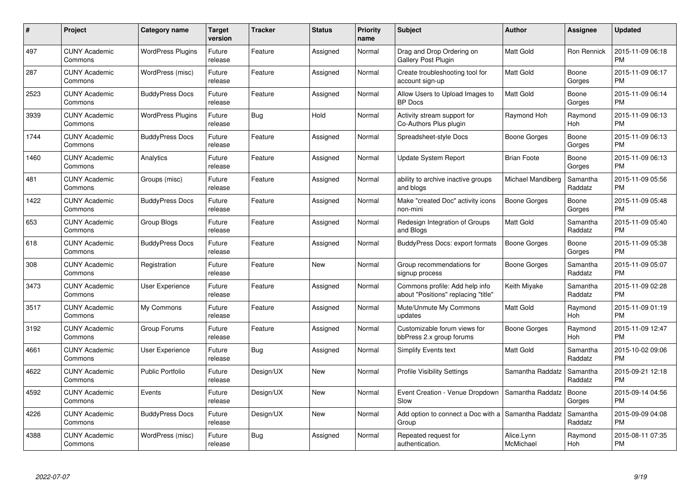| $\#$ | Project                         | <b>Category name</b>     | <b>Target</b><br>version | <b>Tracker</b> | <b>Status</b> | <b>Priority</b><br>name | <b>Subject</b>                                                        | <b>Author</b>           | <b>Assignee</b>     | <b>Updated</b>                |
|------|---------------------------------|--------------------------|--------------------------|----------------|---------------|-------------------------|-----------------------------------------------------------------------|-------------------------|---------------------|-------------------------------|
| 497  | <b>CUNY Academic</b><br>Commons | <b>WordPress Plugins</b> | Future<br>release        | Feature        | Assigned      | Normal                  | Drag and Drop Ordering on<br><b>Gallery Post Plugin</b>               | <b>Matt Gold</b>        | Ron Rennick         | 2015-11-09 06:18<br><b>PM</b> |
| 287  | <b>CUNY Academic</b><br>Commons | WordPress (misc)         | Future<br>release        | Feature        | Assigned      | Normal                  | Create troubleshooting tool for<br>account sign-up                    | <b>Matt Gold</b>        | Boone<br>Gorges     | 2015-11-09 06:17<br><b>PM</b> |
| 2523 | <b>CUNY Academic</b><br>Commons | <b>BuddyPress Docs</b>   | Future<br>release        | Feature        | Assigned      | Normal                  | Allow Users to Upload Images to<br><b>BP</b> Docs                     | <b>Matt Gold</b>        | Boone<br>Gorges     | 2015-11-09 06:14<br><b>PM</b> |
| 3939 | <b>CUNY Academic</b><br>Commons | <b>WordPress Plugins</b> | Future<br>release        | Bug            | Hold          | Normal                  | Activity stream support for<br>Co-Authors Plus plugin                 | Raymond Hoh             | Raymond<br>Hoh      | 2015-11-09 06:13<br><b>PM</b> |
| 1744 | <b>CUNY Academic</b><br>Commons | <b>BuddyPress Docs</b>   | Future<br>release        | Feature        | Assigned      | Normal                  | Spreadsheet-style Docs                                                | Boone Gorges            | Boone<br>Gorges     | 2015-11-09 06:13<br><b>PM</b> |
| 1460 | <b>CUNY Academic</b><br>Commons | Analytics                | Future<br>release        | Feature        | Assigned      | Normal                  | <b>Update System Report</b>                                           | <b>Brian Foote</b>      | Boone<br>Gorges     | 2015-11-09 06:13<br><b>PM</b> |
| 481  | <b>CUNY Academic</b><br>Commons | Groups (misc)            | Future<br>release        | Feature        | Assigned      | Normal                  | ability to archive inactive groups<br>and blogs                       | Michael Mandiberg       | Samantha<br>Raddatz | 2015-11-09 05:56<br><b>PM</b> |
| 1422 | <b>CUNY Academic</b><br>Commons | <b>BuddyPress Docs</b>   | Future<br>release        | Feature        | Assigned      | Normal                  | Make "created Doc" activity icons<br>non-mini                         | Boone Gorges            | Boone<br>Gorges     | 2015-11-09 05:48<br><b>PM</b> |
| 653  | <b>CUNY Academic</b><br>Commons | Group Blogs              | Future<br>release        | Feature        | Assigned      | Normal                  | Redesign Integration of Groups<br>and Blogs                           | <b>Matt Gold</b>        | Samantha<br>Raddatz | 2015-11-09 05:40<br><b>PM</b> |
| 618  | <b>CUNY Academic</b><br>Commons | <b>BuddyPress Docs</b>   | Future<br>release        | Feature        | Assigned      | Normal                  | <b>BuddyPress Docs: export formats</b>                                | Boone Gorges            | Boone<br>Gorges     | 2015-11-09 05:38<br><b>PM</b> |
| 308  | <b>CUNY Academic</b><br>Commons | Registration             | Future<br>release        | Feature        | New           | Normal                  | Group recommendations for<br>signup process                           | Boone Gorges            | Samantha<br>Raddatz | 2015-11-09 05:07<br><b>PM</b> |
| 3473 | <b>CUNY Academic</b><br>Commons | User Experience          | Future<br>release        | Feature        | Assigned      | Normal                  | Commons profile: Add help info<br>about "Positions" replacing "title" | Keith Miyake            | Samantha<br>Raddatz | 2015-11-09 02:28<br><b>PM</b> |
| 3517 | <b>CUNY Academic</b><br>Commons | My Commons               | Future<br>release        | Feature        | Assigned      | Normal                  | Mute/Unmute My Commons<br>updates                                     | Matt Gold               | Raymond<br>Hoh      | 2015-11-09 01:19<br><b>PM</b> |
| 3192 | <b>CUNY Academic</b><br>Commons | Group Forums             | Future<br>release        | Feature        | Assigned      | Normal                  | Customizable forum views for<br>bbPress 2.x group forums              | Boone Gorges            | Raymond<br>Hoh      | 2015-11-09 12:47<br><b>PM</b> |
| 4661 | <b>CUNY Academic</b><br>Commons | User Experience          | Future<br>release        | <b>Bug</b>     | Assigned      | Normal                  | Simplify Events text                                                  | Matt Gold               | Samantha<br>Raddatz | 2015-10-02 09:06<br><b>PM</b> |
| 4622 | <b>CUNY Academic</b><br>Commons | <b>Public Portfolio</b>  | Future<br>release        | Design/UX      | <b>New</b>    | Normal                  | <b>Profile Visibility Settings</b>                                    | Samantha Raddatz        | Samantha<br>Raddatz | 2015-09-21 12:18<br><b>PM</b> |
| 4592 | <b>CUNY Academic</b><br>Commons | Events                   | Future<br>release        | Design/UX      | <b>New</b>    | Normal                  | Event Creation - Venue Dropdown<br>Slow                               | Samantha Raddatz        | Boone<br>Gorges     | 2015-09-14 04:56<br><b>PM</b> |
| 4226 | <b>CUNY Academic</b><br>Commons | <b>BuddyPress Docs</b>   | Future<br>release        | Design/UX      | <b>New</b>    | Normal                  | Add option to connect a Doc with a<br>Group                           | Samantha Raddatz        | Samantha<br>Raddatz | 2015-09-09 04:08<br><b>PM</b> |
| 4388 | CUNY Academic<br>Commons        | WordPress (misc)         | Future<br>release        | Bug            | Assigned      | Normal                  | Repeated request for<br>authentication.                               | Alice.Lynn<br>McMichael | Raymond<br>Hoh      | 2015-08-11 07:35<br><b>PM</b> |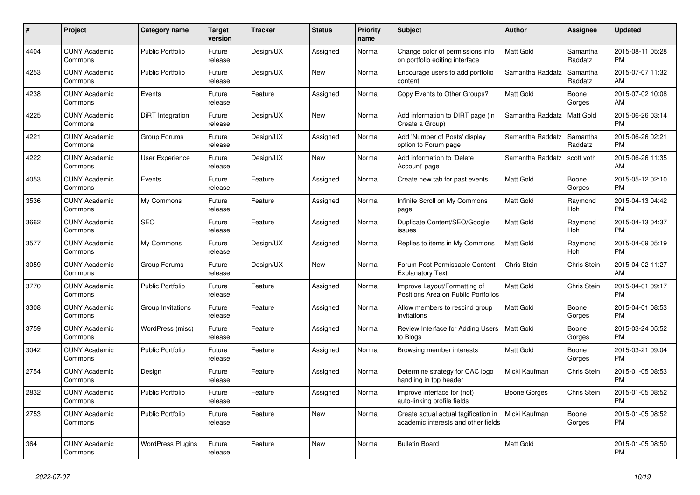| $\pmb{\#}$ | <b>Project</b>                  | <b>Category name</b>     | <b>Target</b><br>version | <b>Tracker</b> | <b>Status</b> | <b>Priority</b><br>name | <b>Subject</b>                                                              | <b>Author</b>    | Assignee            | <b>Updated</b>                |
|------------|---------------------------------|--------------------------|--------------------------|----------------|---------------|-------------------------|-----------------------------------------------------------------------------|------------------|---------------------|-------------------------------|
| 4404       | <b>CUNY Academic</b><br>Commons | <b>Public Portfolio</b>  | Future<br>release        | Design/UX      | Assigned      | Normal                  | Change color of permissions info<br>on portfolio editing interface          | <b>Matt Gold</b> | Samantha<br>Raddatz | 2015-08-11 05:28<br><b>PM</b> |
| 4253       | <b>CUNY Academic</b><br>Commons | <b>Public Portfolio</b>  | Future<br>release        | Design/UX      | New           | Normal                  | Encourage users to add portfolio<br>content                                 | Samantha Raddatz | Samantha<br>Raddatz | 2015-07-07 11:32<br>AM        |
| 4238       | <b>CUNY Academic</b><br>Commons | Events                   | Future<br>release        | Feature        | Assigned      | Normal                  | Copy Events to Other Groups?                                                | Matt Gold        | Boone<br>Gorges     | 2015-07-02 10:08<br>AM        |
| 4225       | <b>CUNY Academic</b><br>Commons | <b>DiRT</b> Integration  | Future<br>release        | Design/UX      | New           | Normal                  | Add information to DIRT page (in<br>Create a Group)                         | Samantha Raddatz | <b>Matt Gold</b>    | 2015-06-26 03:14<br><b>PM</b> |
| 4221       | <b>CUNY Academic</b><br>Commons | Group Forums             | Future<br>release        | Design/UX      | Assigned      | Normal                  | Add 'Number of Posts' display<br>option to Forum page                       | Samantha Raddatz | Samantha<br>Raddatz | 2015-06-26 02:21<br><b>PM</b> |
| 4222       | <b>CUNY Academic</b><br>Commons | User Experience          | Future<br>release        | Design/UX      | New           | Normal                  | Add information to 'Delete<br>Account' page                                 | Samantha Raddatz | scott voth          | 2015-06-26 11:35<br>AM        |
| 4053       | <b>CUNY Academic</b><br>Commons | Events                   | Future<br>release        | Feature        | Assigned      | Normal                  | Create new tab for past events                                              | <b>Matt Gold</b> | Boone<br>Gorges     | 2015-05-12 02:10<br><b>PM</b> |
| 3536       | <b>CUNY Academic</b><br>Commons | My Commons               | Future<br>release        | Feature        | Assigned      | Normal                  | Infinite Scroll on My Commons<br>page                                       | <b>Matt Gold</b> | Raymond<br>Hoh      | 2015-04-13 04:42<br><b>PM</b> |
| 3662       | <b>CUNY Academic</b><br>Commons | <b>SEO</b>               | Future<br>release        | Feature        | Assigned      | Normal                  | Duplicate Content/SEO/Google<br>issues                                      | Matt Gold        | Raymond<br>Hoh      | 2015-04-13 04:37<br><b>PM</b> |
| 3577       | <b>CUNY Academic</b><br>Commons | My Commons               | Future<br>release        | Design/UX      | Assigned      | Normal                  | Replies to items in My Commons                                              | Matt Gold        | Raymond<br>Hoh      | 2015-04-09 05:19<br><b>PM</b> |
| 3059       | <b>CUNY Academic</b><br>Commons | Group Forums             | Future<br>release        | Design/UX      | <b>New</b>    | Normal                  | Forum Post Permissable Content<br><b>Explanatory Text</b>                   | Chris Stein      | Chris Stein         | 2015-04-02 11:27<br>AM        |
| 3770       | <b>CUNY Academic</b><br>Commons | <b>Public Portfolio</b>  | Future<br>release        | Feature        | Assigned      | Normal                  | Improve Layout/Formatting of<br>Positions Area on Public Portfolios         | <b>Matt Gold</b> | Chris Stein         | 2015-04-01 09:17<br><b>PM</b> |
| 3308       | <b>CUNY Academic</b><br>Commons | Group Invitations        | Future<br>release        | Feature        | Assigned      | Normal                  | Allow members to rescind group<br>invitations                               | <b>Matt Gold</b> | Boone<br>Gorges     | 2015-04-01 08:53<br><b>PM</b> |
| 3759       | <b>CUNY Academic</b><br>Commons | WordPress (misc)         | Future<br>release        | Feature        | Assigned      | Normal                  | Review Interface for Adding Users<br>to Blogs                               | Matt Gold        | Boone<br>Gorges     | 2015-03-24 05:52<br><b>PM</b> |
| 3042       | <b>CUNY Academic</b><br>Commons | <b>Public Portfolio</b>  | Future<br>release        | Feature        | Assigned      | Normal                  | Browsing member interests                                                   | Matt Gold        | Boone<br>Gorges     | 2015-03-21 09:04<br>PM        |
| 2754       | <b>CUNY Academic</b><br>Commons | Design                   | Future<br>release        | Feature        | Assigned      | Normal                  | Determine strategy for CAC logo<br>handling in top header                   | Micki Kaufman    | Chris Stein         | 2015-01-05 08:53<br><b>PM</b> |
| 2832       | <b>CUNY Academic</b><br>Commons | <b>Public Portfolio</b>  | Future<br>release        | Feature        | Assigned      | Normal                  | Improve interface for (not)<br>auto-linking profile fields                  | Boone Gorges     | Chris Stein         | 2015-01-05 08:52<br><b>PM</b> |
| 2753       | <b>CUNY Academic</b><br>Commons | Public Portfolio         | Future<br>release        | Feature        | <b>New</b>    | Normal                  | Create actual actual tagification in<br>academic interests and other fields | Micki Kaufman    | Boone<br>Gorges     | 2015-01-05 08:52<br><b>PM</b> |
| 364        | <b>CUNY Academic</b><br>Commons | <b>WordPress Plugins</b> | Future<br>release        | Feature        | <b>New</b>    | Normal                  | <b>Bulletin Board</b>                                                       | <b>Matt Gold</b> |                     | 2015-01-05 08:50<br><b>PM</b> |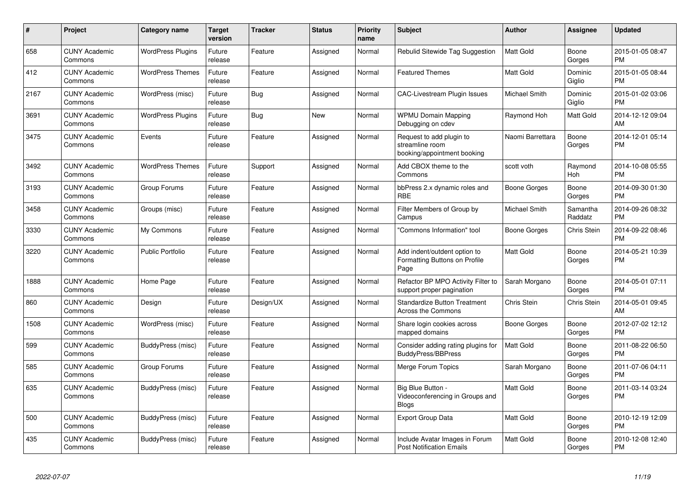| #    | Project                         | <b>Category name</b>     | <b>Target</b><br>version | <b>Tracker</b> | <b>Status</b> | Priority<br>name | <b>Subject</b>                                                             | <b>Author</b>       | <b>Assignee</b>     | <b>Updated</b>                |
|------|---------------------------------|--------------------------|--------------------------|----------------|---------------|------------------|----------------------------------------------------------------------------|---------------------|---------------------|-------------------------------|
| 658  | <b>CUNY Academic</b><br>Commons | <b>WordPress Plugins</b> | Future<br>release        | Feature        | Assigned      | Normal           | Rebulid Sitewide Tag Suggestion                                            | <b>Matt Gold</b>    | Boone<br>Gorges     | 2015-01-05 08:47<br><b>PM</b> |
| 412  | <b>CUNY Academic</b><br>Commons | <b>WordPress Themes</b>  | Future<br>release        | Feature        | Assigned      | Normal           | <b>Featured Themes</b>                                                     | Matt Gold           | Dominic<br>Giglio   | 2015-01-05 08:44<br><b>PM</b> |
| 2167 | <b>CUNY Academic</b><br>Commons | WordPress (misc)         | Future<br>release        | Bug            | Assigned      | Normal           | <b>CAC-Livestream Plugin Issues</b>                                        | Michael Smith       | Dominic<br>Giglio   | 2015-01-02 03:06<br><b>PM</b> |
| 3691 | <b>CUNY Academic</b><br>Commons | <b>WordPress Plugins</b> | Future<br>release        | <b>Bug</b>     | New           | Normal           | <b>WPMU Domain Mapping</b><br>Debugging on cdev                            | Raymond Hoh         | Matt Gold           | 2014-12-12 09:04<br>AM        |
| 3475 | <b>CUNY Academic</b><br>Commons | Events                   | Future<br>release        | Feature        | Assigned      | Normal           | Request to add plugin to<br>streamline room<br>booking/appointment booking | Naomi Barrettara    | Boone<br>Gorges     | 2014-12-01 05:14<br><b>PM</b> |
| 3492 | <b>CUNY Academic</b><br>Commons | <b>WordPress Themes</b>  | Future<br>release        | Support        | Assigned      | Normal           | Add CBOX theme to the<br>Commons                                           | scott voth          | Raymond<br>Hoh      | 2014-10-08 05:55<br><b>PM</b> |
| 3193 | <b>CUNY Academic</b><br>Commons | Group Forums             | Future<br>release        | Feature        | Assigned      | Normal           | bbPress 2.x dynamic roles and<br><b>RBE</b>                                | Boone Gorges        | Boone<br>Gorges     | 2014-09-30 01:30<br><b>PM</b> |
| 3458 | <b>CUNY Academic</b><br>Commons | Groups (misc)            | Future<br>release        | Feature        | Assigned      | Normal           | Filter Members of Group by<br>Campus                                       | Michael Smith       | Samantha<br>Raddatz | 2014-09-26 08:32<br><b>PM</b> |
| 3330 | <b>CUNY Academic</b><br>Commons | My Commons               | Future<br>release        | Feature        | Assigned      | Normal           | "Commons Information" tool                                                 | <b>Boone Gorges</b> | Chris Stein         | 2014-09-22 08:46<br><b>PM</b> |
| 3220 | <b>CUNY Academic</b><br>Commons | <b>Public Portfolio</b>  | Future<br>release        | Feature        | Assigned      | Normal           | Add indent/outdent option to<br>Formatting Buttons on Profile<br>Page      | <b>Matt Gold</b>    | Boone<br>Gorges     | 2014-05-21 10:39<br><b>PM</b> |
| 1888 | <b>CUNY Academic</b><br>Commons | Home Page                | Future<br>release        | Feature        | Assigned      | Normal           | Refactor BP MPO Activity Filter to<br>support proper pagination            | Sarah Morgano       | Boone<br>Gorges     | 2014-05-01 07:11<br><b>PM</b> |
| 860  | <b>CUNY Academic</b><br>Commons | Design                   | Future<br>release        | Design/UX      | Assigned      | Normal           | <b>Standardize Button Treatment</b><br><b>Across the Commons</b>           | Chris Stein         | Chris Stein         | 2014-05-01 09:45<br>AM        |
| 1508 | <b>CUNY Academic</b><br>Commons | WordPress (misc)         | Future<br>release        | Feature        | Assigned      | Normal           | Share login cookies across<br>mapped domains                               | Boone Gorges        | Boone<br>Gorges     | 2012-07-02 12:12<br><b>PM</b> |
| 599  | <b>CUNY Academic</b><br>Commons | BuddyPress (misc)        | Future<br>release        | Feature        | Assigned      | Normal           | Consider adding rating plugins for<br><b>BuddyPress/BBPress</b>            | <b>Matt Gold</b>    | Boone<br>Gorges     | 2011-08-22 06:50<br><b>PM</b> |
| 585  | <b>CUNY Academic</b><br>Commons | Group Forums             | Future<br>release        | Feature        | Assigned      | Normal           | Merge Forum Topics                                                         | Sarah Morgano       | Boone<br>Gorges     | 2011-07-06 04:11<br><b>PM</b> |
| 635  | <b>CUNY Academic</b><br>Commons | BuddyPress (misc)        | Future<br>release        | Feature        | Assigned      | Normal           | Big Blue Button -<br>Videoconferencing in Groups and<br><b>Blogs</b>       | <b>Matt Gold</b>    | Boone<br>Gorges     | 2011-03-14 03:24<br><b>PM</b> |
| 500  | <b>CUNY Academic</b><br>Commons | BuddyPress (misc)        | Future<br>release        | Feature        | Assigned      | Normal           | <b>Export Group Data</b>                                                   | <b>Matt Gold</b>    | Boone<br>Gorges     | 2010-12-19 12:09<br>PM        |
| 435  | <b>CUNY Academic</b><br>Commons | BuddyPress (misc)        | Future<br>release        | Feature        | Assigned      | Normal           | Include Avatar Images in Forum<br><b>Post Notification Emails</b>          | Matt Gold           | Boone<br>Gorges     | 2010-12-08 12:40<br><b>PM</b> |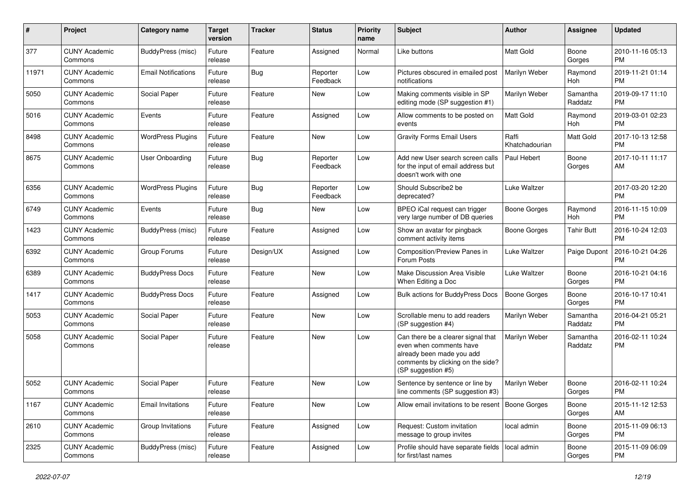| #     | Project                         | <b>Category name</b>       | <b>Target</b><br>version | <b>Tracker</b> | <b>Status</b>        | <b>Priority</b><br>name | Subject                                                                                                                                               | <b>Author</b>           | <b>Assignee</b>     | <b>Updated</b>                |
|-------|---------------------------------|----------------------------|--------------------------|----------------|----------------------|-------------------------|-------------------------------------------------------------------------------------------------------------------------------------------------------|-------------------------|---------------------|-------------------------------|
| 377   | <b>CUNY Academic</b><br>Commons | BuddyPress (misc)          | Future<br>release        | Feature        | Assigned             | Normal                  | Like buttons                                                                                                                                          | <b>Matt Gold</b>        | Boone<br>Gorges     | 2010-11-16 05:13<br><b>PM</b> |
| 11971 | <b>CUNY Academic</b><br>Commons | <b>Email Notifications</b> | Future<br>release        | <b>Bug</b>     | Reporter<br>Feedback | Low                     | Pictures obscured in emailed post<br>notifications                                                                                                    | Marilyn Weber           | Raymond<br>Hoh      | 2019-11-21 01:14<br><b>PM</b> |
| 5050  | <b>CUNY Academic</b><br>Commons | Social Paper               | Future<br>release        | Feature        | New                  | Low                     | Making comments visible in SP<br>editing mode (SP suggestion #1)                                                                                      | Marilyn Weber           | Samantha<br>Raddatz | 2019-09-17 11:10<br><b>PM</b> |
| 5016  | <b>CUNY Academic</b><br>Commons | Events                     | Future<br>release        | Feature        | Assigned             | Low                     | Allow comments to be posted on<br>events                                                                                                              | <b>Matt Gold</b>        | Raymond<br>Hoh      | 2019-03-01 02:23<br><b>PM</b> |
| 8498  | <b>CUNY Academic</b><br>Commons | <b>WordPress Plugins</b>   | Future<br>release        | Feature        | New                  | Low                     | <b>Gravity Forms Email Users</b>                                                                                                                      | Raffi<br>Khatchadourian | Matt Gold           | 2017-10-13 12:58<br><b>PM</b> |
| 8675  | <b>CUNY Academic</b><br>Commons | User Onboarding            | Future<br>release        | <b>Bug</b>     | Reporter<br>Feedback | Low                     | Add new User search screen calls<br>for the input of email address but<br>doesn't work with one                                                       | Paul Hebert             | Boone<br>Gorges     | 2017-10-11 11:17<br>AM        |
| 6356  | <b>CUNY Academic</b><br>Commons | <b>WordPress Plugins</b>   | Future<br>release        | <b>Bug</b>     | Reporter<br>Feedback | Low                     | Should Subscribe2 be<br>deprecated?                                                                                                                   | Luke Waltzer            |                     | 2017-03-20 12:20<br><b>PM</b> |
| 6749  | <b>CUNY Academic</b><br>Commons | Events                     | Future<br>release        | <b>Bug</b>     | New                  | Low                     | BPEO iCal request can trigger<br>very large number of DB queries                                                                                      | <b>Boone Gorges</b>     | Raymond<br>Hoh      | 2016-11-15 10:09<br><b>PM</b> |
| 1423  | <b>CUNY Academic</b><br>Commons | BuddyPress (misc)          | Future<br>release        | Feature        | Assigned             | Low                     | Show an avatar for pingback<br>comment activity items                                                                                                 | <b>Boone Gorges</b>     | <b>Tahir Butt</b>   | 2016-10-24 12:03<br><b>PM</b> |
| 6392  | <b>CUNY Academic</b><br>Commons | Group Forums               | Future<br>release        | Design/UX      | Assigned             | Low                     | Composition/Preview Panes in<br>Forum Posts                                                                                                           | Luke Waltzer            | Paige Dupont        | 2016-10-21 04:26<br><b>PM</b> |
| 6389  | <b>CUNY Academic</b><br>Commons | <b>BuddyPress Docs</b>     | Future<br>release        | Feature        | New                  | Low                     | Make Discussion Area Visible<br>When Editing a Doc                                                                                                    | Luke Waltzer            | Boone<br>Gorges     | 2016-10-21 04:16<br><b>PM</b> |
| 1417  | <b>CUNY Academic</b><br>Commons | <b>BuddyPress Docs</b>     | Future<br>release        | Feature        | Assigned             | Low                     | <b>Bulk actions for BuddyPress Docs</b>                                                                                                               | <b>Boone Gorges</b>     | Boone<br>Gorges     | 2016-10-17 10:41<br><b>PM</b> |
| 5053  | <b>CUNY Academic</b><br>Commons | Social Paper               | Future<br>release        | Feature        | New                  | Low                     | Scrollable menu to add readers<br>(SP suggestion #4)                                                                                                  | Marilyn Weber           | Samantha<br>Raddatz | 2016-04-21 05:21<br><b>PM</b> |
| 5058  | <b>CUNY Academic</b><br>Commons | Social Paper               | Future<br>release        | Feature        | New                  | Low                     | Can there be a clearer signal that<br>even when comments have<br>already been made you add<br>comments by clicking on the side?<br>(SP suggestion #5) | Marilyn Weber           | Samantha<br>Raddatz | 2016-02-11 10:24<br><b>PM</b> |
| 5052  | <b>CUNY Academic</b><br>Commons | Social Paper               | Future<br>release        | Feature        | New                  | Low                     | Sentence by sentence or line by<br>line comments (SP suggestion #3)                                                                                   | Marilyn Weber           | Boone<br>Gorges     | 2016-02-11 10:24<br><b>PM</b> |
| 1167  | <b>CUNY Academic</b><br>Commons | <b>Email Invitations</b>   | Future<br>release        | Feature        | New                  | Low                     | Allow email invitations to be resent   Boone Gorges                                                                                                   |                         | Boone<br>Gorges     | 2015-11-12 12:53<br>AM        |
| 2610  | <b>CUNY Academic</b><br>Commons | Group Invitations          | Future<br>release        | Feature        | Assigned             | Low                     | Request: Custom invitation<br>message to group invites                                                                                                | local admin             | Boone<br>Gorges     | 2015-11-09 06:13<br><b>PM</b> |
| 2325  | <b>CUNY Academic</b><br>Commons | BuddyPress (misc)          | Future<br>release        | Feature        | Assigned             | Low                     | Profile should have separate fields<br>for first/last names                                                                                           | local admin             | Boone<br>Gorges     | 2015-11-09 06:09<br><b>PM</b> |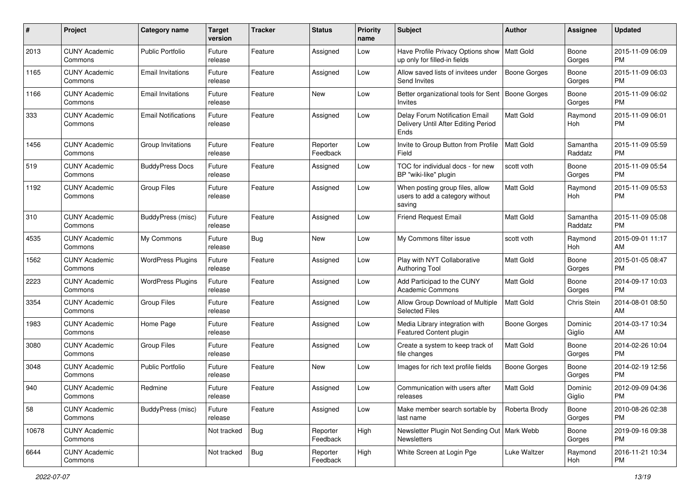| #     | Project                         | <b>Category name</b>       | <b>Target</b><br>version | <b>Tracker</b> | <b>Status</b>        | Priority<br>name | Subject                                                                       | Author              | <b>Assignee</b>     | <b>Updated</b>                |
|-------|---------------------------------|----------------------------|--------------------------|----------------|----------------------|------------------|-------------------------------------------------------------------------------|---------------------|---------------------|-------------------------------|
| 2013  | <b>CUNY Academic</b><br>Commons | <b>Public Portfolio</b>    | Future<br>release        | Feature        | Assigned             | Low              | Have Profile Privacy Options show   Matt Gold<br>up only for filled-in fields |                     | Boone<br>Gorges     | 2015-11-09 06:09<br><b>PM</b> |
| 1165  | <b>CUNY Academic</b><br>Commons | <b>Email Invitations</b>   | Future<br>release        | Feature        | Assigned             | Low              | Allow saved lists of invitees under<br>Send Invites                           | <b>Boone Gorges</b> | Boone<br>Gorges     | 2015-11-09 06:03<br><b>PM</b> |
| 1166  | <b>CUNY Academic</b><br>Commons | <b>Email Invitations</b>   | Future<br>release        | Feature        | New                  | Low              | Better organizational tools for Sent<br>Invites                               | <b>Boone Gorges</b> | Boone<br>Gorges     | 2015-11-09 06:02<br><b>PM</b> |
| 333   | <b>CUNY Academic</b><br>Commons | <b>Email Notifications</b> | Future<br>release        | Feature        | Assigned             | Low              | Delay Forum Notification Email<br>Delivery Until After Editing Period<br>Ends | Matt Gold           | Raymond<br>Hoh      | 2015-11-09 06:01<br><b>PM</b> |
| 1456  | <b>CUNY Academic</b><br>Commons | Group Invitations          | Future<br>release        | Feature        | Reporter<br>Feedback | Low              | Invite to Group Button from Profile<br>Field                                  | <b>Matt Gold</b>    | Samantha<br>Raddatz | 2015-11-09 05:59<br><b>PM</b> |
| 519   | <b>CUNY Academic</b><br>Commons | <b>BuddyPress Docs</b>     | Future<br>release        | Feature        | Assigned             | Low              | TOC for individual docs - for new<br>BP "wiki-like" plugin                    | scott voth          | Boone<br>Gorges     | 2015-11-09 05:54<br><b>PM</b> |
| 1192  | <b>CUNY Academic</b><br>Commons | <b>Group Files</b>         | Future<br>release        | Feature        | Assigned             | Low              | When posting group files, allow<br>users to add a category without<br>saving  | <b>Matt Gold</b>    | Raymond<br>Hoh      | 2015-11-09 05:53<br><b>PM</b> |
| 310   | <b>CUNY Academic</b><br>Commons | BuddyPress (misc)          | Future<br>release        | Feature        | Assigned             | Low              | <b>Friend Request Email</b>                                                   | Matt Gold           | Samantha<br>Raddatz | 2015-11-09 05:08<br><b>PM</b> |
| 4535  | <b>CUNY Academic</b><br>Commons | My Commons                 | Future<br>release        | Bug            | New                  | Low              | My Commons filter issue                                                       | scott voth          | Raymond<br>Hoh      | 2015-09-01 11:17<br>AM        |
| 1562  | <b>CUNY Academic</b><br>Commons | <b>WordPress Plugins</b>   | Future<br>release        | Feature        | Assigned             | Low              | Play with NYT Collaborative<br><b>Authoring Tool</b>                          | Matt Gold           | Boone<br>Gorges     | 2015-01-05 08:47<br><b>PM</b> |
| 2223  | <b>CUNY Academic</b><br>Commons | <b>WordPress Plugins</b>   | Future<br>release        | Feature        | Assigned             | Low              | Add Participad to the CUNY<br><b>Academic Commons</b>                         | <b>Matt Gold</b>    | Boone<br>Gorges     | 2014-09-17 10:03<br><b>PM</b> |
| 3354  | <b>CUNY Academic</b><br>Commons | Group Files                | Future<br>release        | Feature        | Assigned             | Low              | Allow Group Download of Multiple<br><b>Selected Files</b>                     | <b>Matt Gold</b>    | Chris Stein         | 2014-08-01 08:50<br>AM        |
| 1983  | <b>CUNY Academic</b><br>Commons | Home Page                  | Future<br>release        | Feature        | Assigned             | Low              | Media Library integration with<br>Featured Content plugin                     | <b>Boone Gorges</b> | Dominic<br>Giglio   | 2014-03-17 10:34<br>AM        |
| 3080  | <b>CUNY Academic</b><br>Commons | <b>Group Files</b>         | Future<br>release        | Feature        | Assigned             | Low              | Create a system to keep track of<br>file changes                              | <b>Matt Gold</b>    | Boone<br>Gorges     | 2014-02-26 10:04<br><b>PM</b> |
| 3048  | <b>CUNY Academic</b><br>Commons | <b>Public Portfolio</b>    | Future<br>release        | Feature        | New                  | Low              | Images for rich text profile fields                                           | <b>Boone Gorges</b> | Boone<br>Gorges     | 2014-02-19 12:56<br><b>PM</b> |
| 940   | <b>CUNY Academic</b><br>Commons | Redmine                    | Future<br>release        | Feature        | Assigned             | Low              | Communication with users after<br>releases                                    | <b>Matt Gold</b>    | Dominic<br>Giglio   | 2012-09-09 04:36<br>PM        |
| 58    | <b>CUNY Academic</b><br>Commons | BuddyPress (misc)          | Future<br>release        | Feature        | Assigned             | Low              | Make member search sortable by<br>last name                                   | Roberta Brody       | Boone<br>Gorges     | 2010-08-26 02:38<br>PM        |
| 10678 | <b>CUNY Academic</b><br>Commons |                            | Not tracked              | Bug            | Reporter<br>Feedback | High             | Newsletter Plugin Not Sending Out   Mark Webb<br><b>Newsletters</b>           |                     | Boone<br>Gorges     | 2019-09-16 09:38<br><b>PM</b> |
| 6644  | <b>CUNY Academic</b><br>Commons |                            | Not tracked              | <b>Bug</b>     | Reporter<br>Feedback | High             | White Screen at Login Pge                                                     | Luke Waltzer        | Raymond<br>Hoh      | 2016-11-21 10:34<br><b>PM</b> |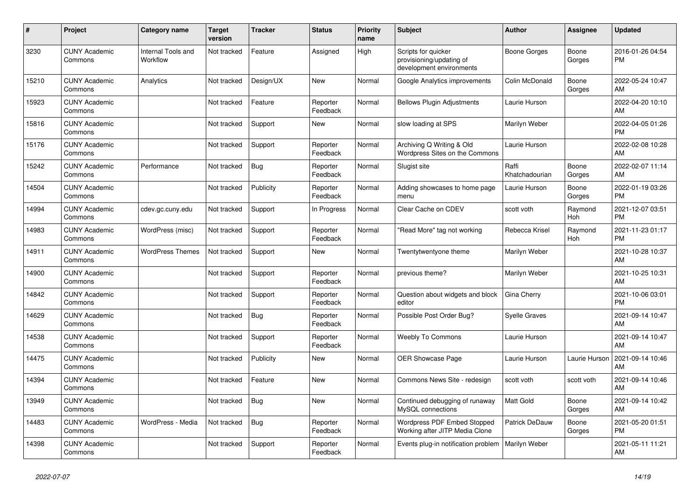| ∦     | Project                         | <b>Category name</b>                  | <b>Target</b><br>version | <b>Tracker</b> | <b>Status</b>        | <b>Priority</b><br>name | <b>Subject</b>                                                              | <b>Author</b>           | <b>Assignee</b> | <b>Updated</b>                |
|-------|---------------------------------|---------------------------------------|--------------------------|----------------|----------------------|-------------------------|-----------------------------------------------------------------------------|-------------------------|-----------------|-------------------------------|
| 3230  | <b>CUNY Academic</b><br>Commons | <b>Internal Tools and</b><br>Workflow | Not tracked              | Feature        | Assigned             | High                    | Scripts for quicker<br>provisioning/updating of<br>development environments | Boone Gorges            | Boone<br>Gorges | 2016-01-26 04:54<br><b>PM</b> |
| 15210 | <b>CUNY Academic</b><br>Commons | Analytics                             | Not tracked              | Design/UX      | <b>New</b>           | Normal                  | Google Analytics improvements                                               | Colin McDonald          | Boone<br>Gorges | 2022-05-24 10:47<br>AM        |
| 15923 | <b>CUNY Academic</b><br>Commons |                                       | Not tracked              | Feature        | Reporter<br>Feedback | Normal                  | <b>Bellows Plugin Adjustments</b>                                           | Laurie Hurson           |                 | 2022-04-20 10:10<br>AM        |
| 15816 | <b>CUNY Academic</b><br>Commons |                                       | Not tracked              | Support        | <b>New</b>           | Normal                  | slow loading at SPS                                                         | Marilyn Weber           |                 | 2022-04-05 01:26<br><b>PM</b> |
| 15176 | <b>CUNY Academic</b><br>Commons |                                       | Not tracked              | Support        | Reporter<br>Feedback | Normal                  | Archiving Q Writing & Old<br>Wordpress Sites on the Commons                 | Laurie Hurson           |                 | 2022-02-08 10:28<br>AM        |
| 15242 | <b>CUNY Academic</b><br>Commons | Performance                           | Not tracked              | Bug            | Reporter<br>Feedback | Normal                  | Slugist site                                                                | Raffi<br>Khatchadourian | Boone<br>Gorges | 2022-02-07 11:14<br>AM        |
| 14504 | <b>CUNY Academic</b><br>Commons |                                       | Not tracked              | Publicity      | Reporter<br>Feedback | Normal                  | Adding showcases to home page<br>menu                                       | Laurie Hurson           | Boone<br>Gorges | 2022-01-19 03:26<br><b>PM</b> |
| 14994 | <b>CUNY Academic</b><br>Commons | cdev.gc.cuny.edu                      | Not tracked              | Support        | In Progress          | Normal                  | Clear Cache on CDEV                                                         | scott voth              | Raymond<br>Hoh  | 2021-12-07 03:51<br><b>PM</b> |
| 14983 | <b>CUNY Academic</b><br>Commons | WordPress (misc)                      | Not tracked              | Support        | Reporter<br>Feedback | Normal                  | "Read More" tag not working                                                 | Rebecca Krisel          | Raymond<br>Hoh  | 2021-11-23 01:17<br><b>PM</b> |
| 14911 | <b>CUNY Academic</b><br>Commons | <b>WordPress Themes</b>               | Not tracked              | Support        | <b>New</b>           | Normal                  | Twentytwentyone theme                                                       | Marilyn Weber           |                 | 2021-10-28 10:37<br>AM        |
| 14900 | <b>CUNY Academic</b><br>Commons |                                       | Not tracked              | Support        | Reporter<br>Feedback | Normal                  | previous theme?                                                             | Marilyn Weber           |                 | 2021-10-25 10:31<br>AM        |
| 14842 | <b>CUNY Academic</b><br>Commons |                                       | Not tracked              | Support        | Reporter<br>Feedback | Normal                  | Question about widgets and block<br>editor                                  | Gina Cherry             |                 | 2021-10-06 03:01<br><b>PM</b> |
| 14629 | <b>CUNY Academic</b><br>Commons |                                       | Not tracked              | <b>Bug</b>     | Reporter<br>Feedback | Normal                  | Possible Post Order Bug?                                                    | <b>Syelle Graves</b>    |                 | 2021-09-14 10:47<br>AM        |
| 14538 | <b>CUNY Academic</b><br>Commons |                                       | Not tracked              | Support        | Reporter<br>Feedback | Normal                  | <b>Weebly To Commons</b>                                                    | Laurie Hurson           |                 | 2021-09-14 10:47<br>AM        |
| 14475 | <b>CUNY Academic</b><br>Commons |                                       | Not tracked              | Publicity      | <b>New</b>           | Normal                  | <b>OER Showcase Page</b>                                                    | Laurie Hurson           | Laurie Hurson   | 2021-09-14 10:46<br>AM        |
| 14394 | <b>CUNY Academic</b><br>Commons |                                       | Not tracked              | Feature        | <b>New</b>           | Normal                  | Commons News Site - redesign                                                | scott voth              | scott voth      | 2021-09-14 10:46<br>AM        |
| 13949 | <b>CUNY Academic</b><br>Commons |                                       | Not tracked              | Bug            | <b>New</b>           | Normal                  | Continued debugging of runaway<br>MySQL connections                         | Matt Gold               | Boone<br>Gorges | 2021-09-14 10:42<br>AM        |
| 14483 | <b>CUNY Academic</b><br>Commons | WordPress - Media                     | Not tracked              | Bug            | Reporter<br>Feedback | Normal                  | Wordpress PDF Embed Stopped<br>Working after JITP Media Clone               | Patrick DeDauw          | Boone<br>Gorges | 2021-05-20 01:51<br><b>PM</b> |
| 14398 | <b>CUNY Academic</b><br>Commons |                                       | Not tracked              | Support        | Reporter<br>Feedback | Normal                  | Events plug-in notification problem                                         | Marilyn Weber           |                 | 2021-05-11 11:21<br>AM        |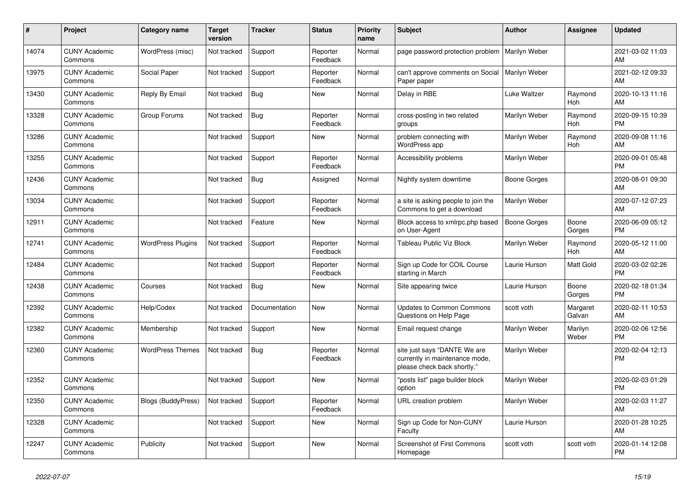| #     | Project                         | <b>Category name</b>      | <b>Target</b><br>version | <b>Tracker</b> | <b>Status</b>        | <b>Priority</b><br>name | <b>Subject</b>                                                                                | <b>Author</b> | Assignee           | <b>Updated</b>                |
|-------|---------------------------------|---------------------------|--------------------------|----------------|----------------------|-------------------------|-----------------------------------------------------------------------------------------------|---------------|--------------------|-------------------------------|
| 14074 | <b>CUNY Academic</b><br>Commons | WordPress (misc)          | Not tracked              | Support        | Reporter<br>Feedback | Normal                  | page password protection problem   Marilyn Weber                                              |               |                    | 2021-03-02 11:03<br>AM        |
| 13975 | <b>CUNY Academic</b><br>Commons | <b>Social Paper</b>       | Not tracked              | Support        | Reporter<br>Feedback | Normal                  | can't approve comments on Social<br>Paper paper                                               | Marilyn Weber |                    | 2021-02-12 09:33<br>AM        |
| 13430 | <b>CUNY Academic</b><br>Commons | Reply By Email            | Not tracked              | Bug            | New                  | Normal                  | Delay in RBE                                                                                  | Luke Waltzer  | Raymond<br>Hoh     | 2020-10-13 11:16<br>AM        |
| 13328 | <b>CUNY Academic</b><br>Commons | Group Forums              | Not tracked              | <b>Bug</b>     | Reporter<br>Feedback | Normal                  | cross-posting in two related<br>groups                                                        | Marilyn Weber | Raymond<br>Hoh     | 2020-09-15 10:39<br><b>PM</b> |
| 13286 | <b>CUNY Academic</b><br>Commons |                           | Not tracked              | Support        | New                  | Normal                  | problem connecting with<br>WordPress app                                                      | Marilyn Weber | Raymond<br>Hoh     | 2020-09-08 11:16<br>AM        |
| 13255 | <b>CUNY Academic</b><br>Commons |                           | Not tracked              | Support        | Reporter<br>Feedback | Normal                  | Accessibility problems                                                                        | Marilyn Weber |                    | 2020-09-01 05:48<br><b>PM</b> |
| 12436 | <b>CUNY Academic</b><br>Commons |                           | Not tracked              | Bug            | Assigned             | Normal                  | Nightly system downtime                                                                       | Boone Gorges  |                    | 2020-08-01 09:30<br>AM        |
| 13034 | <b>CUNY Academic</b><br>Commons |                           | Not tracked              | Support        | Reporter<br>Feedback | Normal                  | a site is asking people to join the<br>Commons to get a download                              | Marilyn Weber |                    | 2020-07-12 07:23<br>AM        |
| 12911 | <b>CUNY Academic</b><br>Commons |                           | Not tracked              | Feature        | <b>New</b>           | Normal                  | Block access to xmlrpc.php based<br>on User-Agent                                             | Boone Gorges  | Boone<br>Gorges    | 2020-06-09 05:12<br><b>PM</b> |
| 12741 | <b>CUNY Academic</b><br>Commons | <b>WordPress Plugins</b>  | Not tracked              | Support        | Reporter<br>Feedback | Normal                  | <b>Tableau Public Viz Block</b>                                                               | Marilyn Weber | Raymond<br>Hoh     | 2020-05-12 11:00<br>AM        |
| 12484 | <b>CUNY Academic</b><br>Commons |                           | Not tracked              | Support        | Reporter<br>Feedback | Normal                  | Sign up Code for COIL Course<br>starting in March                                             | Laurie Hurson | Matt Gold          | 2020-03-02 02:26<br><b>PM</b> |
| 12438 | <b>CUNY Academic</b><br>Commons | Courses                   | Not tracked              | Bug            | New                  | Normal                  | Site appearing twice                                                                          | Laurie Hurson | Boone<br>Gorges    | 2020-02-18 01:34<br><b>PM</b> |
| 12392 | <b>CUNY Academic</b><br>Commons | Help/Codex                | Not tracked              | Documentation  | <b>New</b>           | Normal                  | <b>Updates to Common Commons</b><br>Questions on Help Page                                    | scott voth    | Margaret<br>Galvan | 2020-02-11 10:53<br>AM        |
| 12382 | <b>CUNY Academic</b><br>Commons | Membership                | Not tracked              | Support        | New                  | Normal                  | Email request change                                                                          | Marilyn Weber | Marilyn<br>Weber   | 2020-02-06 12:56<br><b>PM</b> |
| 12360 | <b>CUNY Academic</b><br>Commons | <b>WordPress Themes</b>   | Not tracked              | Bug            | Reporter<br>Feedback | Normal                  | site just says "DANTE We are<br>currently in maintenance mode,<br>please check back shortly." | Marilyn Weber |                    | 2020-02-04 12:13<br><b>PM</b> |
| 12352 | <b>CUNY Academic</b><br>Commons |                           | Not tracked              | Support        | New                  | Normal                  | 'posts list" page builder block<br>option                                                     | Marilyn Weber |                    | 2020-02-03 01:29<br><b>PM</b> |
| 12350 | <b>CUNY Academic</b><br>Commons | <b>Blogs (BuddyPress)</b> | Not tracked              | Support        | Reporter<br>Feedback | Normal                  | URL creation problem                                                                          | Marilyn Weber |                    | 2020-02-03 11:27<br>AM        |
| 12328 | <b>CUNY Academic</b><br>Commons |                           | Not tracked              | Support        | New                  | Normal                  | Sign up Code for Non-CUNY<br>Faculty                                                          | Laurie Hurson |                    | 2020-01-28 10:25<br>AM        |
| 12247 | <b>CUNY Academic</b><br>Commons | Publicity                 | Not tracked              | Support        | <b>New</b>           | Normal                  | <b>Screenshot of First Commons</b><br>Homepage                                                | scott voth    | scott voth         | 2020-01-14 12:08<br><b>PM</b> |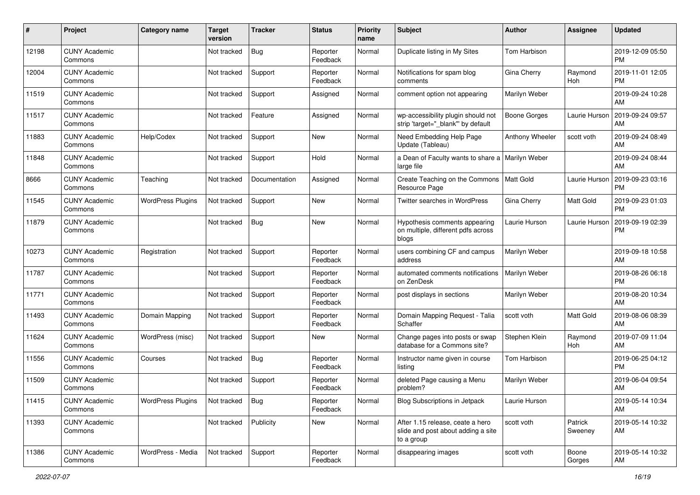| #     | Project                         | <b>Category name</b>     | <b>Target</b><br>version | <b>Tracker</b> | <b>Status</b>        | <b>Priority</b><br>name | <b>Subject</b>                                                                       | Author              | <b>Assignee</b>    | <b>Updated</b>                |
|-------|---------------------------------|--------------------------|--------------------------|----------------|----------------------|-------------------------|--------------------------------------------------------------------------------------|---------------------|--------------------|-------------------------------|
| 12198 | <b>CUNY Academic</b><br>Commons |                          | Not tracked              | <b>Bug</b>     | Reporter<br>Feedback | Normal                  | Duplicate listing in My Sites                                                        | Tom Harbison        |                    | 2019-12-09 05:50<br><b>PM</b> |
| 12004 | <b>CUNY Academic</b><br>Commons |                          | Not tracked              | Support        | Reporter<br>Feedback | Normal                  | Notifications for spam blog<br>comments                                              | Gina Cherry         | Raymond<br>Hoh     | 2019-11-01 12:05<br><b>PM</b> |
| 11519 | <b>CUNY Academic</b><br>Commons |                          | Not tracked              | Support        | Assigned             | Normal                  | comment option not appearing                                                         | Marilyn Weber       |                    | 2019-09-24 10:28<br>AM        |
| 11517 | <b>CUNY Academic</b><br>Commons |                          | Not tracked              | Feature        | Assigned             | Normal                  | wp-accessibility plugin should not<br>strip 'target="_blank" by default              | <b>Boone Gorges</b> | Laurie Hurson      | 2019-09-24 09:57<br>AM        |
| 11883 | <b>CUNY Academic</b><br>Commons | Help/Codex               | Not tracked              | Support        | New                  | Normal                  | Need Embedding Help Page<br>Update (Tableau)                                         | Anthony Wheeler     | scott voth         | 2019-09-24 08:49<br>AM        |
| 11848 | <b>CUNY Academic</b><br>Commons |                          | Not tracked              | Support        | Hold                 | Normal                  | a Dean of Faculty wants to share a   Marilyn Weber<br>large file                     |                     |                    | 2019-09-24 08:44<br>AM        |
| 8666  | <b>CUNY Academic</b><br>Commons | Teaching                 | Not tracked              | Documentation  | Assigned             | Normal                  | Create Teaching on the Commons<br>Resource Page                                      | Matt Gold           | Laurie Hurson      | 2019-09-23 03:16<br><b>PM</b> |
| 11545 | <b>CUNY Academic</b><br>Commons | <b>WordPress Plugins</b> | Not tracked              | Support        | New                  | Normal                  | <b>Twitter searches in WordPress</b>                                                 | Gina Cherry         | <b>Matt Gold</b>   | 2019-09-23 01:03<br><b>PM</b> |
| 11879 | <b>CUNY Academic</b><br>Commons |                          | Not tracked              | <b>Bug</b>     | New                  | Normal                  | Hypothesis comments appearing<br>on multiple, different pdfs across<br>blogs         | Laurie Hurson       | Laurie Hurson      | 2019-09-19 02:39<br><b>PM</b> |
| 10273 | <b>CUNY Academic</b><br>Commons | Registration             | Not tracked              | Support        | Reporter<br>Feedback | Normal                  | users combining CF and campus<br>address                                             | Marilyn Weber       |                    | 2019-09-18 10:58<br>AM        |
| 11787 | <b>CUNY Academic</b><br>Commons |                          | Not tracked              | Support        | Reporter<br>Feedback | Normal                  | automated comments notifications<br>on ZenDesk                                       | Marilyn Weber       |                    | 2019-08-26 06:18<br><b>PM</b> |
| 11771 | <b>CUNY Academic</b><br>Commons |                          | Not tracked              | Support        | Reporter<br>Feedback | Normal                  | post displays in sections                                                            | Marilyn Weber       |                    | 2019-08-20 10:34<br>AM        |
| 11493 | <b>CUNY Academic</b><br>Commons | Domain Mapping           | Not tracked              | Support        | Reporter<br>Feedback | Normal                  | Domain Mapping Request - Talia<br>Schaffer                                           | scott voth          | Matt Gold          | 2019-08-06 08:39<br>AM        |
| 11624 | <b>CUNY Academic</b><br>Commons | WordPress (misc)         | Not tracked              | Support        | New                  | Normal                  | Change pages into posts or swap<br>database for a Commons site?                      | Stephen Klein       | Raymond<br>Hoh     | 2019-07-09 11:04<br>AM        |
| 11556 | <b>CUNY Academic</b><br>Commons | Courses                  | Not tracked              | <b>Bug</b>     | Reporter<br>Feedback | Normal                  | Instructor name given in course<br>listing                                           | Tom Harbison        |                    | 2019-06-25 04:12<br><b>PM</b> |
| 11509 | <b>CUNY Academic</b><br>Commons |                          | Not tracked              | Support        | Reporter<br>Feedback | Normal                  | deleted Page causing a Menu<br>problem?                                              | Marilyn Weber       |                    | 2019-06-04 09:54<br>AM        |
| 11415 | <b>CUNY Academic</b><br>Commons | <b>WordPress Plugins</b> | Not tracked              | Bug            | Reporter<br>Feedback | Normal                  | Blog Subscriptions in Jetpack                                                        | Laurie Hurson       |                    | 2019-05-14 10:34<br>AM        |
| 11393 | <b>CUNY Academic</b><br>Commons |                          | Not tracked              | Publicity      | New                  | Normal                  | After 1.15 release, ceate a hero<br>slide and post about adding a site<br>to a group | scott voth          | Patrick<br>Sweeney | 2019-05-14 10:32<br>AM        |
| 11386 | <b>CUNY Academic</b><br>Commons | WordPress - Media        | Not tracked              | Support        | Reporter<br>Feedback | Normal                  | disappearing images                                                                  | scott voth          | Boone<br>Gorges    | 2019-05-14 10:32<br>AM        |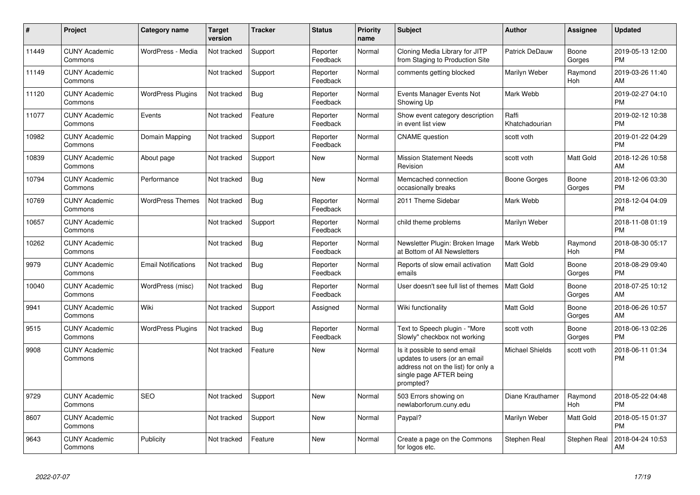| #     | Project                         | <b>Category name</b>       | <b>Target</b><br>version | <b>Tracker</b> | <b>Status</b>        | <b>Priority</b><br>name | <b>Subject</b>                                                                                                                               | Author                  | <b>Assignee</b> | <b>Updated</b>                |
|-------|---------------------------------|----------------------------|--------------------------|----------------|----------------------|-------------------------|----------------------------------------------------------------------------------------------------------------------------------------------|-------------------------|-----------------|-------------------------------|
| 11449 | <b>CUNY Academic</b><br>Commons | WordPress - Media          | Not tracked              | Support        | Reporter<br>Feedback | Normal                  | Cloning Media Library for JITP<br>from Staging to Production Site                                                                            | Patrick DeDauw          | Boone<br>Gorges | 2019-05-13 12:00<br><b>PM</b> |
| 11149 | <b>CUNY Academic</b><br>Commons |                            | Not tracked              | Support        | Reporter<br>Feedback | Normal                  | comments getting blocked                                                                                                                     | Marilyn Weber           | Raymond<br>Hoh  | 2019-03-26 11:40<br>AM        |
| 11120 | <b>CUNY Academic</b><br>Commons | <b>WordPress Plugins</b>   | Not tracked              | Bug            | Reporter<br>Feedback | Normal                  | Events Manager Events Not<br>Showing Up                                                                                                      | Mark Webb               |                 | 2019-02-27 04:10<br><b>PM</b> |
| 11077 | <b>CUNY Academic</b><br>Commons | Events                     | Not tracked              | Feature        | Reporter<br>Feedback | Normal                  | Show event category description<br>in event list view                                                                                        | Raffi<br>Khatchadourian |                 | 2019-02-12 10:38<br><b>PM</b> |
| 10982 | <b>CUNY Academic</b><br>Commons | Domain Mapping             | Not tracked              | Support        | Reporter<br>Feedback | Normal                  | <b>CNAME</b> question                                                                                                                        | scott voth              |                 | 2019-01-22 04:29<br><b>PM</b> |
| 10839 | <b>CUNY Academic</b><br>Commons | About page                 | Not tracked              | Support        | <b>New</b>           | Normal                  | <b>Mission Statement Needs</b><br>Revision                                                                                                   | scott voth              | Matt Gold       | 2018-12-26 10:58<br>AM        |
| 10794 | <b>CUNY Academic</b><br>Commons | Performance                | Not tracked              | Bug            | <b>New</b>           | Normal                  | Memcached connection<br>occasionally breaks                                                                                                  | Boone Gorges            | Boone<br>Gorges | 2018-12-06 03:30<br><b>PM</b> |
| 10769 | <b>CUNY Academic</b><br>Commons | <b>WordPress Themes</b>    | Not tracked              | Bug            | Reporter<br>Feedback | Normal                  | 2011 Theme Sidebar                                                                                                                           | Mark Webb               |                 | 2018-12-04 04:09<br><b>PM</b> |
| 10657 | <b>CUNY Academic</b><br>Commons |                            | Not tracked              | Support        | Reporter<br>Feedback | Normal                  | child theme problems                                                                                                                         | Marilyn Weber           |                 | 2018-11-08 01:19<br><b>PM</b> |
| 10262 | <b>CUNY Academic</b><br>Commons |                            | Not tracked              | Bug            | Reporter<br>Feedback | Normal                  | Newsletter Plugin: Broken Image<br>at Bottom of All Newsletters                                                                              | Mark Webb               | Raymond<br>Hoh  | 2018-08-30 05:17<br><b>PM</b> |
| 9979  | <b>CUNY Academic</b><br>Commons | <b>Email Notifications</b> | Not tracked              | <b>Bug</b>     | Reporter<br>Feedback | Normal                  | Reports of slow email activation<br>emails                                                                                                   | <b>Matt Gold</b>        | Boone<br>Gorges | 2018-08-29 09:40<br><b>PM</b> |
| 10040 | <b>CUNY Academic</b><br>Commons | WordPress (misc)           | Not tracked              | <b>Bug</b>     | Reporter<br>Feedback | Normal                  | User doesn't see full list of themes                                                                                                         | <b>Matt Gold</b>        | Boone<br>Gorges | 2018-07-25 10:12<br>AM        |
| 9941  | <b>CUNY Academic</b><br>Commons | Wiki                       | Not tracked              | Support        | Assigned             | Normal                  | Wiki functionality                                                                                                                           | <b>Matt Gold</b>        | Boone<br>Gorges | 2018-06-26 10:57<br>AM        |
| 9515  | <b>CUNY Academic</b><br>Commons | <b>WordPress Plugins</b>   | Not tracked              | Bug            | Reporter<br>Feedback | Normal                  | Text to Speech plugin - "More<br>Slowly" checkbox not working                                                                                | scott voth              | Boone<br>Gorges | 2018-06-13 02:26<br><b>PM</b> |
| 9908  | <b>CUNY Academic</b><br>Commons |                            | Not tracked              | Feature        | <b>New</b>           | Normal                  | Is it possible to send email<br>updates to users (or an email<br>address not on the list) for only a<br>single page AFTER being<br>prompted? | <b>Michael Shields</b>  | scott voth      | 2018-06-11 01:34<br><b>PM</b> |
| 9729  | <b>CUNY Academic</b><br>Commons | <b>SEO</b>                 | Not tracked              | Support        | New                  | Normal                  | 503 Errors showing on<br>newlaborforum.cuny.edu                                                                                              | Diane Krauthamer        | Raymond<br>Hoh  | 2018-05-22 04:48<br><b>PM</b> |
| 8607  | <b>CUNY Academic</b><br>Commons |                            | Not tracked              | Support        | <b>New</b>           | Normal                  | Paypal?                                                                                                                                      | Marilyn Weber           | Matt Gold       | 2018-05-15 01:37<br><b>PM</b> |
| 9643  | <b>CUNY Academic</b><br>Commons | Publicity                  | Not tracked              | Feature        | <b>New</b>           | Normal                  | Create a page on the Commons<br>for logos etc.                                                                                               | Stephen Real            | Stephen Real    | 2018-04-24 10:53<br>AM        |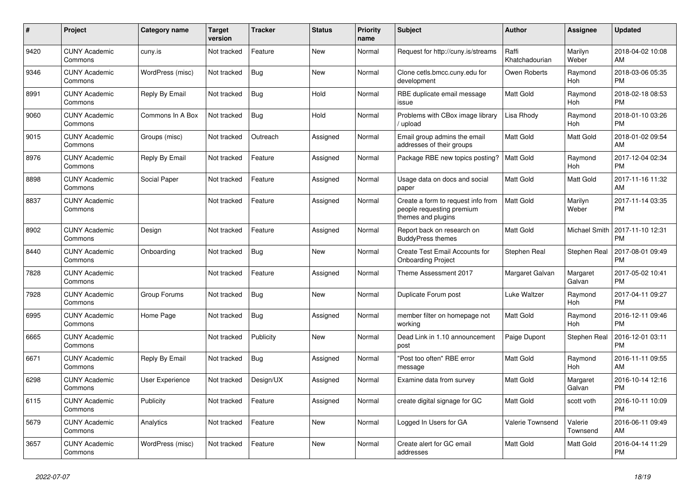| $\#$ | Project                         | <b>Category name</b> | <b>Target</b><br>version | <b>Tracker</b> | <b>Status</b> | <b>Priority</b><br>name | <b>Subject</b>                                                                        | <b>Author</b>           | <b>Assignee</b>     | <b>Updated</b>                |
|------|---------------------------------|----------------------|--------------------------|----------------|---------------|-------------------------|---------------------------------------------------------------------------------------|-------------------------|---------------------|-------------------------------|
| 9420 | <b>CUNY Academic</b><br>Commons | cuny.is              | Not tracked              | Feature        | <b>New</b>    | Normal                  | Request for http://cuny.is/streams                                                    | Raffi<br>Khatchadourian | Marilyn<br>Weber    | 2018-04-02 10:08<br>AM        |
| 9346 | <b>CUNY Academic</b><br>Commons | WordPress (misc)     | Not tracked              | Bug            | New           | Normal                  | Clone cetls.bmcc.cuny.edu for<br>development                                          | Owen Roberts            | Raymond<br>Hoh      | 2018-03-06 05:35<br><b>PM</b> |
| 8991 | <b>CUNY Academic</b><br>Commons | Reply By Email       | Not tracked              | <b>Bug</b>     | Hold          | Normal                  | RBE duplicate email message<br>issue                                                  | Matt Gold               | Raymond<br>Hoh      | 2018-02-18 08:53<br><b>PM</b> |
| 9060 | <b>CUNY Academic</b><br>Commons | Commons In A Box     | Not tracked              | <b>Bug</b>     | Hold          | Normal                  | Problems with CBox image library<br>upload                                            | Lisa Rhody              | Raymond<br>Hoh      | 2018-01-10 03:26<br><b>PM</b> |
| 9015 | <b>CUNY Academic</b><br>Commons | Groups (misc)        | Not tracked              | Outreach       | Assigned      | Normal                  | Email group admins the email<br>addresses of their groups                             | <b>Matt Gold</b>        | Matt Gold           | 2018-01-02 09:54<br>AM        |
| 8976 | <b>CUNY Academic</b><br>Commons | Reply By Email       | Not tracked              | Feature        | Assigned      | Normal                  | Package RBE new topics posting?                                                       | <b>Matt Gold</b>        | Raymond<br>Hoh      | 2017-12-04 02:34<br><b>PM</b> |
| 8898 | <b>CUNY Academic</b><br>Commons | Social Paper         | Not tracked              | Feature        | Assigned      | Normal                  | Usage data on docs and social<br>paper                                                | <b>Matt Gold</b>        | Matt Gold           | 2017-11-16 11:32<br>AM        |
| 8837 | <b>CUNY Academic</b><br>Commons |                      | Not tracked              | Feature        | Assigned      | Normal                  | Create a form to request info from<br>people requesting premium<br>themes and plugins | <b>Matt Gold</b>        | Marilyn<br>Weber    | 2017-11-14 03:35<br><b>PM</b> |
| 8902 | <b>CUNY Academic</b><br>Commons | Design               | Not tracked              | Feature        | Assigned      | Normal                  | Report back on research on<br><b>BuddyPress themes</b>                                | <b>Matt Gold</b>        | Michael Smith       | 2017-11-10 12:31<br><b>PM</b> |
| 8440 | <b>CUNY Academic</b><br>Commons | Onboarding           | Not tracked              | Bug            | New           | Normal                  | <b>Create Test Email Accounts for</b><br><b>Onboarding Project</b>                    | Stephen Real            | Stephen Real        | 2017-08-01 09:49<br><b>PM</b> |
| 7828 | <b>CUNY Academic</b><br>Commons |                      | Not tracked              | Feature        | Assigned      | Normal                  | Theme Assessment 2017                                                                 | Margaret Galvan         | Margaret<br>Galvan  | 2017-05-02 10:41<br><b>PM</b> |
| 7928 | <b>CUNY Academic</b><br>Commons | Group Forums         | Not tracked              | <b>Bug</b>     | <b>New</b>    | Normal                  | Duplicate Forum post                                                                  | Luke Waltzer            | Raymond<br>Hoh      | 2017-04-11 09:27<br><b>PM</b> |
| 6995 | <b>CUNY Academic</b><br>Commons | Home Page            | Not tracked              | Bug            | Assigned      | Normal                  | member filter on homepage not<br>working                                              | Matt Gold               | Raymond<br>Hoh      | 2016-12-11 09:46<br><b>PM</b> |
| 6665 | <b>CUNY Academic</b><br>Commons |                      | Not tracked              | Publicity      | New           | Normal                  | Dead Link in 1.10 announcement<br>post                                                | Paige Dupont            | Stephen Real        | 2016-12-01 03:11<br><b>PM</b> |
| 6671 | <b>CUNY Academic</b><br>Commons | Reply By Email       | Not tracked              | <b>Bug</b>     | Assigned      | Normal                  | "Post too often" RBE error<br>message                                                 | Matt Gold               | Raymond<br>Hoh      | 2016-11-11 09:55<br>AM        |
| 6298 | <b>CUNY Academic</b><br>Commons | User Experience      | Not tracked              | Design/UX      | Assigned      | Normal                  | Examine data from survey                                                              | Matt Gold               | Margaret<br>Galvan  | 2016-10-14 12:16<br><b>PM</b> |
| 6115 | <b>CUNY Academic</b><br>Commons | Publicity            | Not tracked              | Feature        | Assigned      | Normal                  | create digital signage for GC                                                         | Matt Gold               | scott voth          | 2016-10-11 10:09<br><b>PM</b> |
| 5679 | <b>CUNY Academic</b><br>Commons | Analytics            | Not tracked              | Feature        | New           | Normal                  | Logged In Users for GA                                                                | Valerie Townsend        | Valerie<br>Townsend | 2016-06-11 09:49<br>AM        |
| 3657 | <b>CUNY Academic</b><br>Commons | WordPress (misc)     | Not tracked              | Feature        | <b>New</b>    | Normal                  | Create alert for GC email<br>addresses                                                | Matt Gold               | Matt Gold           | 2016-04-14 11:29<br>PM        |